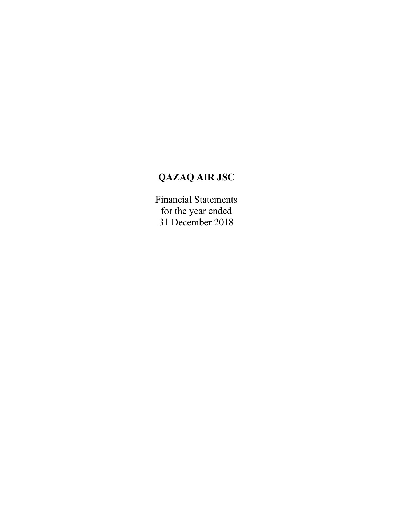# **QAZAQ AIR JSC**

Financial Statements for the year ended 31 December 2018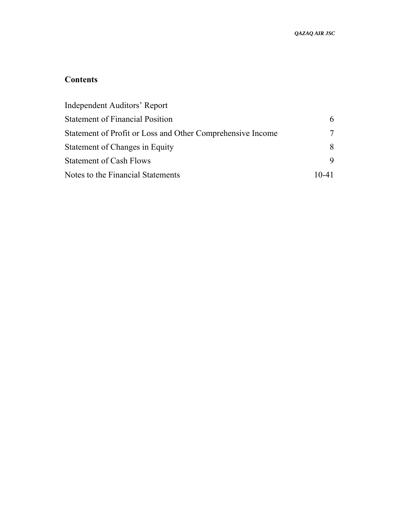# **Contents**

| Independent Auditors' Report                               |           |
|------------------------------------------------------------|-----------|
| <b>Statement of Financial Position</b>                     | 6         |
| Statement of Profit or Loss and Other Comprehensive Income |           |
| Statement of Changes in Equity                             | 8.        |
| <b>Statement of Cash Flows</b>                             |           |
| Notes to the Financial Statements                          | $10 - 41$ |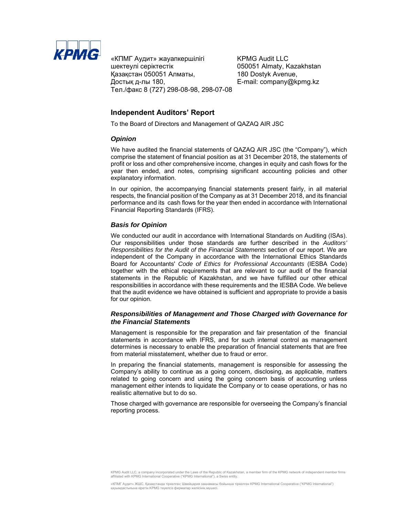

«КПМГ Аудит» жауапкершілігі шектеулі серіктестік Қазақстан 050051 Алматы, Достық д-лы 180, Тел./факс 8 (727) 298-08-98, 298-07-08 KPMG Audit LLC 050051 Almaty, Kazakhstan 180 Dostyk Avenue, E-mail: company@kpmg.kz

### **Independent Auditors' Report**

To the Board of Directors and Management of QAZAQ AIR JSC

#### *Opinion*

We have audited the financial statements of QAZAQ AIR JSC (the "Company"), which comprise the statement of financial position as at 31 December 2018, the statements of profit or loss and other comprehensive income, changes in equity and cash flows for the year then ended, and notes, comprising significant accounting policies and other explanatory information.

In our opinion, the accompanying financial statements present fairly, in all material respects, the financial position of the Company as at 31 December 2018, and its financial performance and its cash flows for the year then ended in accordance with International Financial Reporting Standards (IFRS).

#### *Basis for Opinion*

We conducted our audit in accordance with International Standards on Auditing (ISAs). Our responsibilities under those standards are further described in the *Auditors' Responsibilities for the Audit of the Financial Statements* section of our report. We are independent of the Company in accordance with the International Ethics Standards Board for Accountants' *Code of Ethics for Professional Accountants* (IESBA Code) together with the ethical requirements that are relevant to our audit of the financial statements in the Republic of Kazakhstan, and we have fulfilled our other ethical responsibilities in accordance with these requirements and the IESBA Code. We believe that the audit evidence we have obtained is sufficient and appropriate to provide a basis for our opinion.

### *Responsibilities of Management and Those Charged with Governance for the Financial Statements*

Management is responsible for the preparation and fair presentation of the financial statements in accordance with IFRS, and for such internal control as management determines is necessary to enable the preparation of financial statements that are free from material misstatement, whether due to fraud or error.

In preparing the financial statements, management is responsible for assessing the Company's ability to continue as a going concern, disclosing, as applicable, matters related to going concern and using the going concern basis of accounting unless management either intends to liquidate the Company or to cease operations, or has no realistic alternative but to do so.

Those charged with governance are responsible for overseeing the Company's financial reporting process.

KPMG Audit LLC, a company incorporated under the Laws of the Republic of Kazakhstan, a member firm of the KPMG network of independent member firms<br>affiliated with KPMG International Cooperative ("KPMG International"), a Sw

<sup>«</sup>КПМГ Аудит» ЖШС, Қазақстанда тіркелген; Швейцария заңнамасы бойынша тіркелген KPMG International Cooperative ("KPMG International") .<br>астығына кіретін KPMG тәуелсіз фирмалар желісінің мүшес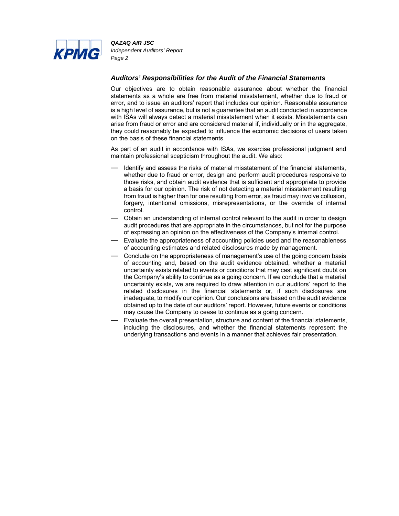

*QAZAQ AIR JSC Independent Auditors' Report Page 2* 

### *Auditors' Responsibilities for the Audit of the Financial Statements*

Our objectives are to obtain reasonable assurance about whether the financial statements as a whole are free from material misstatement, whether due to fraud or error, and to issue an auditors' report that includes our opinion. Reasonable assurance is a high level of assurance, but is not a guarantee that an audit conducted in accordance with ISAs will always detect a material misstatement when it exists. Misstatements can arise from fraud or error and are considered material if, individually or in the aggregate, they could reasonably be expected to influence the economic decisions of users taken on the basis of these financial statements.

As part of an audit in accordance with ISAs, we exercise professional judgment and maintain professional scepticism throughout the audit. We also:

- Identify and assess the risks of material misstatement of the financial statements, whether due to fraud or error, design and perform audit procedures responsive to those risks, and obtain audit evidence that is sufficient and appropriate to provide a basis for our opinion. The risk of not detecting a material misstatement resulting from fraud is higher than for one resulting from error, as fraud may involve collusion, forgery, intentional omissions, misrepresentations, or the override of internal control.
- Obtain an understanding of internal control relevant to the audit in order to design audit procedures that are appropriate in the circumstances, but not for the purpose of expressing an opinion on the effectiveness of the Company's internal control.
- Evaluate the appropriateness of accounting policies used and the reasonableness of accounting estimates and related disclosures made by management.
- Conclude on the appropriateness of management's use of the going concern basis of accounting and, based on the audit evidence obtained, whether a material uncertainty exists related to events or conditions that may cast significant doubt on the Company's ability to continue as a going concern. If we conclude that a material uncertainty exists, we are required to draw attention in our auditors' report to the related disclosures in the financial statements or, if such disclosures are inadequate, to modify our opinion. Our conclusions are based on the audit evidence obtained up to the date of our auditors' report. However, future events or conditions may cause the Company to cease to continue as a going concern.
- Evaluate the overall presentation, structure and content of the financial statements, including the disclosures, and whether the financial statements represent the underlying transactions and events in a manner that achieves fair presentation.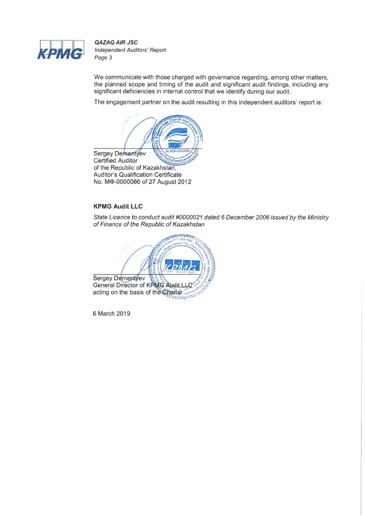

**QAZAQ AIR JSC** Independent Auditors' Report Page 3

We communicate with those charged with governance regarding, among other matters, the planned scope and timing of the audit and significant audit findings, including any significant deficiencies in internal control that we identify during our audit.

The engagement partner on the audit resulting in this independent auditors' report is:



### **KPMG Audit LLC**

State Licence to conduct audit #0000021 dated 6 December 2006 issued by the Ministry of Finance of the Republic of Kazakhstan



6 March 2019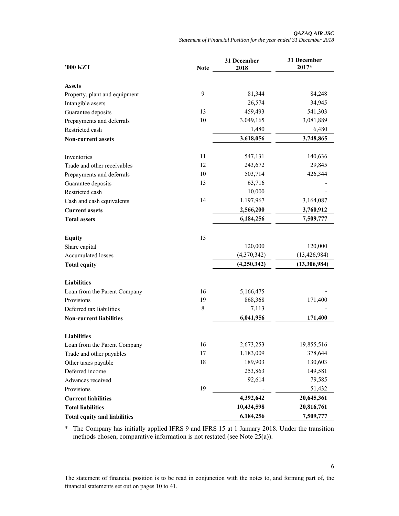#### *QAZAQ AIR JSC Statement of Financial Position for the year ended 31 December 2018*

| '000 KZT                            | <b>Note</b> | 31 December<br>2018 | 31 December<br>$2017*$ |
|-------------------------------------|-------------|---------------------|------------------------|
| <b>Assets</b>                       |             |                     |                        |
| Property, plant and equipment       | 9           | 81,344              | 84,248                 |
| Intangible assets                   |             | 26,574              | 34,945                 |
| Guarantee deposits                  | 13          | 459,493             | 541,303                |
| Prepayments and deferrals           | 10          | 3,049,165           | 3,081,889              |
| Restricted cash                     |             | 1,480               | 6,480                  |
| <b>Non-current assets</b>           |             | 3,618,056           | 3,748,865              |
|                                     |             |                     |                        |
| Inventories                         | 11          | 547,131             | 140,636                |
| Trade and other receivables         | 12          | 243,672             | 29,845                 |
| Prepayments and deferrals           | 10          | 503,714             | 426,344                |
| Guarantee deposits                  | 13          | 63,716              |                        |
| Restricted cash                     |             | 10,000              |                        |
| Cash and cash equivalents           | 14          | 1,197,967           | 3,164,087              |
| <b>Current assets</b>               |             | 2,566,200           | 3,760,912              |
| <b>Total assets</b>                 |             | 6,184,256           | 7,509,777              |
|                                     |             |                     |                        |
| <b>Equity</b>                       | 15          |                     |                        |
| Share capital                       |             | 120,000             | 120,000                |
| <b>Accumulated losses</b>           |             | (4,370,342)         | (13, 426, 984)         |
| <b>Total equity</b>                 |             | (4,250,342)         | (13,306,984)           |
| <b>Liabilities</b>                  |             |                     |                        |
| Loan from the Parent Company        | 16          | 5,166,475           |                        |
| Provisions                          | 19          | 868,368             | 171,400                |
| Deferred tax liabilities            | 8           | 7,113               |                        |
| <b>Non-current liabilities</b>      |             | 6,041,956           | 171,400                |
|                                     |             |                     |                        |
| <b>Liabilities</b>                  |             |                     |                        |
| Loan from the Parent Company        | 16          | 2,673,253           | 19,855,516             |
| Trade and other payables            | 17          | 1,183,009           | 378,644                |
| Other taxes payable                 | 18          | 189,903             | 130,603                |
| Deferred income                     |             | 253,863             | 149,581                |
| Advances received                   |             | 92,614              | 79,585                 |
| Provisions                          | 19          |                     | 51,432                 |
| <b>Current liabilities</b>          |             | 4,392,642           | 20,645,361             |
| <b>Total liabilities</b>            |             | 10,434,598          | 20,816,761             |
| <b>Total equity and liabilities</b> |             | 6,184,256           | 7,509,777              |

\* The Company has initially applied IFRS 9 and IFRS 15 at 1 January 2018. Under the transition methods chosen, comparative information is not restated (see Note 25(a)).

The statement of financial position is to be read in conjunction with the notes to, and forming part of, the financial statements set out on pages 10 to 41.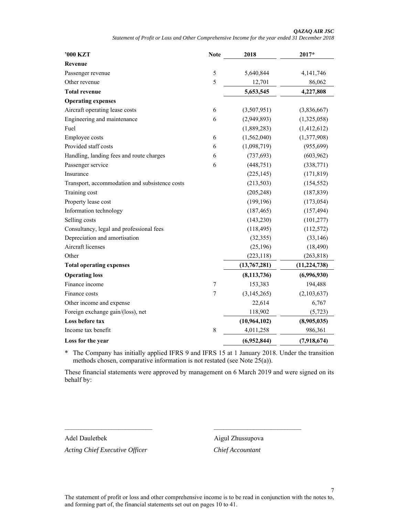|                                                                                                | <i><b>QAZAQ AIR JSC</b></i> |
|------------------------------------------------------------------------------------------------|-----------------------------|
| Statement of Profit or Loss and Other Comprehensive Income for the year ended 31 December 2018 |                             |

| '000 KZT                                       | <b>Note</b> | 2018          | 2017*          |
|------------------------------------------------|-------------|---------------|----------------|
| Revenue                                        |             |               |                |
| Passenger revenue                              | 5           | 5,640,844     | 4,141,746      |
| Other revenue                                  | 5           | 12,701        | 86,062         |
| <b>Total revenue</b>                           |             | 5,653,545     | 4,227,808      |
| <b>Operating expenses</b>                      |             |               |                |
| Aircraft operating lease costs                 | 6           | (3,507,951)   | (3,836,667)    |
| Engineering and maintenance                    | 6           | (2,949,893)   | (1,325,058)    |
| Fuel                                           |             | (1,889,283)   | (1,412,612)    |
| Employee costs                                 | 6           | (1,562,040)   | (1,377,908)    |
| Provided staff costs                           | 6           | (1,098,719)   | (955, 699)     |
| Handling, landing fees and route charges       | 6           | (737, 693)    | (603,962)      |
| Passenger service                              | 6           | (448, 751)    | (338,771)      |
| Insurance                                      |             | (225, 145)    | (171, 819)     |
| Transport, accommodation and subsistence costs |             | (213,503)     | (154, 552)     |
| Training cost                                  |             | (205, 248)    | (187, 839)     |
| Property lease cost                            |             | (199, 196)    | (173, 054)     |
| Information technology                         |             | (187, 465)    | (157, 494)     |
| Selling costs                                  |             | (143, 230)    | (101, 277)     |
| Consultancy, legal and professional fees       |             | (118, 495)    | (112, 572)     |
| Depreciation and amortisation                  |             | (32, 355)     | (33, 146)      |
| Aircraft licenses                              |             | (25, 196)     | (18, 490)      |
| Other                                          |             | (223, 118)    | (263, 818)     |
| <b>Total operating expenses</b>                |             | (13,767,281)  | (11, 224, 738) |
| <b>Operating loss</b>                          |             | (8, 113, 736) | (6,996,930)    |
| Finance income                                 | 7           | 153,383       | 194,488        |
| Finance costs                                  | 7           | (3,145,265)   | (2,103,637)    |
| Other income and expense                       |             | 22,614        | 6,767          |
| Foreign exchange gain/(loss), net              |             | 118,902       | (5, 723)       |
| Loss before tax                                |             | (10,964,102)  | (8,905,035)    |
| Income tax benefit                             | 8           | 4,011,258     | 986,361        |
| Loss for the year                              |             | (6,952,844)   | (7,918,674)    |

\* The Company has initially applied IFRS 9 and IFRS 15 at 1 January 2018. Under the transition methods chosen, comparative information is not restated (see Note 25(a)).

These financial statements were approved by management on 6 March 2019 and were signed on its behalf by:

*Acting Chief Executive Officer Chief Accountant*

Adel Dauletbek Aigul Zhussupova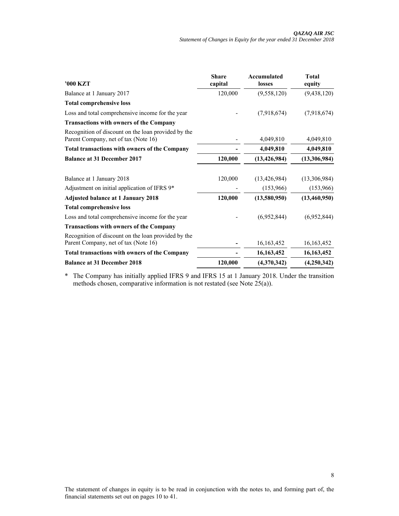| '000 KZT                                                                                    | <b>Share</b><br>capital | Accumulated<br>losses | <b>Total</b><br>equity |
|---------------------------------------------------------------------------------------------|-------------------------|-----------------------|------------------------|
| Balance at 1 January 2017                                                                   | 120,000                 | (9, 558, 120)         | (9, 438, 120)          |
| <b>Total comprehensive loss</b>                                                             |                         |                       |                        |
| Loss and total comprehensive income for the year                                            |                         | (7,918,674)           | (7,918,674)            |
| <b>Transactions with owners of the Company</b>                                              |                         |                       |                        |
| Recognition of discount on the loan provided by the<br>Parent Company, net of tax (Note 16) |                         | 4,049,810             | 4,049,810              |
| <b>Total transactions with owners of the Company</b>                                        |                         | 4,049,810             | 4,049,810              |
| <b>Balance at 31 December 2017</b>                                                          | 120,000                 | (13, 426, 984)        | (13,306,984)           |
| Balance at 1 January 2018                                                                   | 120,000                 | (13, 426, 984)        | (13,306,984)           |
| Adjustment on initial application of IFRS 9*                                                |                         | (153,966)             | (153,966)              |
| <b>Adjusted balance at 1 January 2018</b>                                                   | 120,000                 | (13,580,950)          | (13,460,950)           |
| <b>Total comprehensive loss</b>                                                             |                         |                       |                        |
| Loss and total comprehensive income for the year                                            |                         | (6,952,844)           | (6,952,844)            |
| <b>Transactions with owners of the Company</b>                                              |                         |                       |                        |
| Recognition of discount on the loan provided by the<br>Parent Company, net of tax (Note 16) |                         | 16, 163, 452          | 16, 163, 452           |
| <b>Total transactions with owners of the Company</b>                                        |                         | 16, 163, 452          | 16, 163, 452           |
| <b>Balance at 31 December 2018</b>                                                          | 120,000                 | (4,370,342)           | (4,250,342)            |

\* The Company has initially applied IFRS 9 and IFRS 15 at 1 January 2018. Under the transition methods chosen, comparative information is not restated (see Note 25(a)).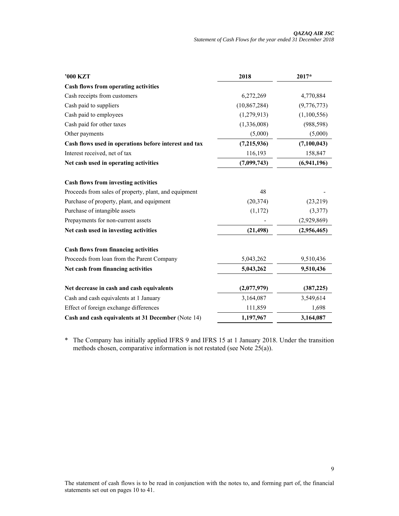| '000 KZT                                              | 2018           | 2017*       |
|-------------------------------------------------------|----------------|-------------|
| Cash flows from operating activities                  |                |             |
| Cash receipts from customers                          | 6,272,269      | 4,770,884   |
| Cash paid to suppliers                                | (10, 867, 284) | (9,776,773) |
| Cash paid to employees                                | (1,279,913)    | (1,100,556) |
| Cash paid for other taxes                             | (1,336,008)    | (988, 598)  |
| Other payments                                        | (5,000)        | (5,000)     |
| Cash flows used in operations before interest and tax | (7,215,936)    | (7,100,043) |
| Interest received, net of tax                         | 116,193        | 158,847     |
| Net cash used in operating activities                 | (7,099,743)    | (6,941,196) |
| <b>Cash flows from investing activities</b>           |                |             |
| Proceeds from sales of property, plant, and equipment | 48             |             |
| Purchase of property, plant, and equipment            | (20, 374)      | (23,219)    |
| Purchase of intangible assets                         | (1, 172)       | (3,377)     |
| Prepayments for non-current assets                    |                | (2,929,869) |
| Net cash used in investing activities                 | (21, 498)      | (2,956,465) |
| <b>Cash flows from financing activities</b>           |                |             |
| Proceeds from loan from the Parent Company            | 5,043,262      | 9,510,436   |
| Net cash from financing activities                    | 5,043,262      | 9,510,436   |
| Net decrease in cash and cash equivalents             | (2,077,979)    | (387, 225)  |
| Cash and cash equivalents at 1 January                | 3,164,087      | 3,549,614   |
| Effect of foreign exchange differences                | 111,859        | 1,698       |
| Cash and cash equivalents at 31 December (Note 14)    | 1,197,967      | 3,164,087   |

\* The Company has initially applied IFRS 9 and IFRS 15 at 1 January 2018. Under the transition methods chosen, comparative information is not restated (see Note 25(a)).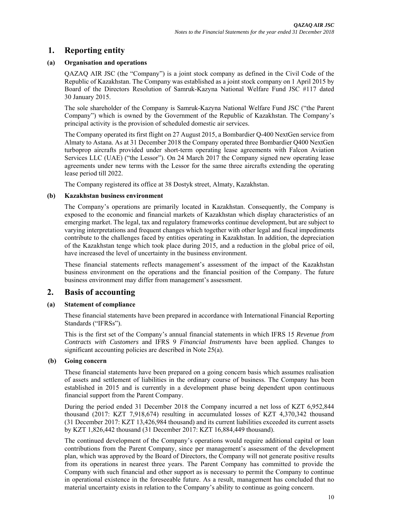### **1. Reporting entity**

### **(a) Organisation and operations**

QAZAQ AIR JSC (the "Company") is a joint stock company as defined in the Civil Code of the Republic of Kazakhstan. The Company was established as a joint stock company on 1 April 2015 by Board of the Directors Resolution of Samruk-Kazyna National Welfare Fund JSC #117 dated 30 January 2015.

The sole shareholder of the Company is Samruk-Kazyna National Welfare Fund JSC ("the Parent Company") which is owned by the Government of the Republic of Kazakhstan. The Company's principal activity is the provision of scheduled domestic air services.

The Company operated its first flight on 27 August 2015, a Bombardier Q-400 NextGen service from Almaty to Astana. As at 31 December 2018 the Company operated three Bombardier Q400 NextGen turboprop aircrafts provided under short-term operating lease agreements with Falcon Aviation Services LLC (UAE) ("the Lessor"). On 24 March 2017 the Company signed new operating lease agreements under new terms with the Lessor for the same three aircrafts extending the operating lease period till 2022.

The Company registered its office at 38 Dostyk street, Almaty, Kazakhstan.

### **(b) Kazakhstan business environment**

The Company's operations are primarily located in Kazakhstan. Consequently, the Company is exposed to the economic and financial markets of Kazakhstan which display characteristics of an emerging market. The legal, tax and regulatory frameworks continue development, but are subject to varying interpretations and frequent changes which together with other legal and fiscal impediments contribute to the challenges faced by entities operating in Kazakhstan. In addition, the depreciation of the Kazakhstan tenge which took place during 2015, and a reduction in the global price of oil, have increased the level of uncertainty in the business environment.

These financial statements reflects management's assessment of the impact of the Kazakhstan business environment on the operations and the financial position of the Company. The future business environment may differ from management's assessment.

### **2. Basis of accounting**

### **(a) Statement of compliance**

These financial statements have been prepared in accordance with International Financial Reporting Standards ("IFRSs").

This is the first set of the Company's annual financial statements in which IFRS 15 *Revenue from Contracts with Customers* and IFRS 9 *Financial Instruments* have been applied. Changes to significant accounting policies are described in Note 25(a).

### **(b) Going concern**

These financial statements have been prepared on a going concern basis which assumes realisation of assets and settlement of liabilities in the ordinary course of business. The Company has been established in 2015 and is currently in a development phase being dependent upon continuous financial support from the Parent Company.

During the period ended 31 December 2018 the Company incurred a net loss of KZT 6,952,844 thousand (2017: KZT 7,918,674) resulting in accumulated losses of KZT 4,370,342 thousand (31 December 2017: KZT 13,426,984 thousand) and its current liabilities exceeded its current assets by KZT 1,826,442 thousand (31 December 2017: KZT 16,884,449 thousand).

The continued development of the Company's operations would require additional capital or loan contributions from the Parent Company, since per management's assessment of the development plan, which was approved by the Board of Directors, the Company will not generate positive results from its operations in nearest three years. The Parent Company has committed to provide the Company with such financial and other support as is necessary to permit the Company to continue in operational existence in the foreseeable future. As a result, management has concluded that no material uncertainty exists in relation to the Company's ability to continue as going concern.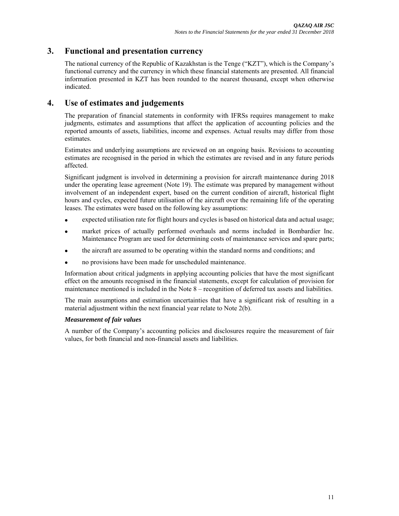# **3. Functional and presentation currency**

The national currency of the Republic of Kazakhstan is the Tenge ("KZT"), which is the Company's functional currency and the currency in which these financial statements are presented. All financial information presented in KZT has been rounded to the nearest thousand, except when otherwise indicated.

# **4. Use of estimates and judgements**

The preparation of financial statements in conformity with IFRSs requires management to make judgments, estimates and assumptions that affect the application of accounting policies and the reported amounts of assets, liabilities, income and expenses. Actual results may differ from those estimates.

Estimates and underlying assumptions are reviewed on an ongoing basis. Revisions to accounting estimates are recognised in the period in which the estimates are revised and in any future periods affected.

Significant judgment is involved in determining a provision for aircraft maintenance during 2018 under the operating lease agreement (Note 19). The estimate was prepared by management without involvement of an independent expert, based on the current condition of aircraft, historical flight hours and cycles, expected future utilisation of the aircraft over the remaining life of the operating leases. The estimates were based on the following key assumptions:

- expected utilisation rate for flight hours and cycles is based on historical data and actual usage;
- market prices of actually performed overhauls and norms included in Bombardier Inc. Maintenance Program are used for determining costs of maintenance services and spare parts;
- the aircraft are assumed to be operating within the standard norms and conditions; and
- no provisions have been made for unscheduled maintenance.

Information about critical judgments in applying accounting policies that have the most significant effect on the amounts recognised in the financial statements, except for calculation of provision for maintenance mentioned is included in the Note 8 – recognition of deferred tax assets and liabilities.

The main assumptions and estimation uncertainties that have a significant risk of resulting in a material adjustment within the next financial year relate to Note 2(b).

### *Measurement of fair values*

A number of the Company's accounting policies and disclosures require the measurement of fair values, for both financial and non-financial assets and liabilities.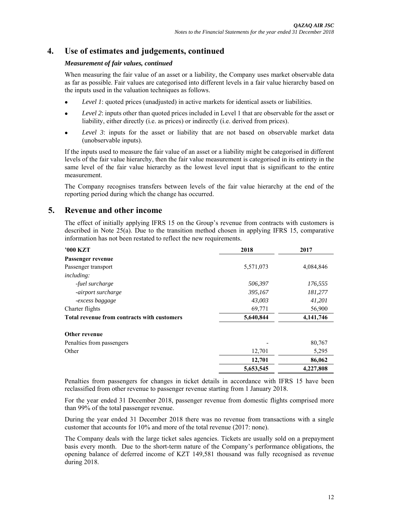### **4. Use of estimates and judgements, continued**

### *Measurement of fair values, continued*

When measuring the fair value of an asset or a liability, the Company uses market observable data as far as possible. Fair values are categorised into different levels in a fair value hierarchy based on the inputs used in the valuation techniques as follows.

- *Level 1*: quoted prices (unadjusted) in active markets for identical assets or liabilities.
- *Level 2*: inputs other than quoted prices included in Level 1 that are observable for the asset or liability, either directly (i.e. as prices) or indirectly (i.e. derived from prices).
- *Level 3*: inputs for the asset or liability that are not based on observable market data (unobservable inputs).

If the inputs used to measure the fair value of an asset or a liability might be categorised in different levels of the fair value hierarchy, then the fair value measurement is categorised in its entirety in the same level of the fair value hierarchy as the lowest level input that is significant to the entire measurement.

The Company recognises transfers between levels of the fair value hierarchy at the end of the reporting period during which the change has occurred.

### **5. Revenue and other income**

The effect of initially applying IFRS 15 on the Group's revenue from contracts with customers is described in Note 25(a). Due to the transition method chosen in applying IFRS 15, comparative information has not been restated to reflect the new requirements.

| '000 KZT                                           | 2018      | 2017      |
|----------------------------------------------------|-----------|-----------|
| Passenger revenue                                  |           |           |
| Passenger transport                                | 5,571,073 | 4,084,846 |
| <i>including:</i>                                  |           |           |
| -fuel surcharge                                    | 506,397   | 176,555   |
| -airport surcharge                                 | 395,167   | 181,277   |
| -excess baggage                                    | 43,003    | 41,201    |
| Charter flights                                    | 69,771    | 56,900    |
| <b>Total revenue from contracts with customers</b> | 5,640,844 | 4,141,746 |
| Other revenue                                      |           |           |
| Penalties from passengers                          |           | 80,767    |
| Other                                              | 12,701    | 5,295     |
|                                                    | 12,701    | 86,062    |
|                                                    | 5,653,545 | 4,227,808 |

Penalties from passengers for changes in ticket details in accordance with IFRS 15 have been reclassified from other revenue to passenger revenue starting from 1 January 2018.

For the year ended 31 December 2018, passenger revenue from domestic flights comprised more than 99% of the total passenger revenue.

During the year ended 31 December 2018 there was no revenue from transactions with a single customer that accounts for 10% and more of the total revenue (2017: none).

The Company deals with the large ticket sales agencies. Tickets are usually sold on a prepayment basis every month. Due to the short-term nature of the Company's performance obligations, the opening balance of deferred income of KZT 149,581 thousand was fully recognised as revenue during 2018.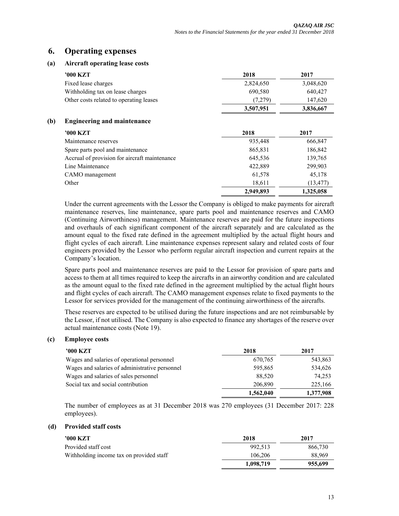### **6. Operating expenses**

### **(a) Aircraft operating lease costs**

|     | '000 KZT                                      | 2018      | 2017      |
|-----|-----------------------------------------------|-----------|-----------|
|     | Fixed lease charges                           | 2,824,650 | 3,048,620 |
|     | Withholding tax on lease charges              | 690,580   | 640,427   |
|     | Other costs related to operating leases       | (7,279)   | 147,620   |
|     |                                               | 3,507,951 | 3,836,667 |
| (b) | <b>Engineering and maintenance</b>            |           |           |
|     | '000 KZT                                      | 2018      | 2017      |
|     | Maintenance reserves                          | 935,448   | 666,847   |
|     | Spare parts pool and maintenance              | 865,831   | 186,842   |
|     | Accrual of provision for aircraft maintenance | 645,536   | 139,765   |
|     | Line Maintenance                              | 422,889   | 299,903   |
|     | CAMO management                               | 61,578    | 45,178    |
|     | Other                                         | 18,611    | (13, 477) |
|     |                                               | 2,949,893 | 1,325,058 |

Under the current agreements with the Lessor the Company is obliged to make payments for aircraft maintenance reserves, line maintenance, spare parts pool and maintenance reserves and CAMO (Continuing Airworthiness) management. Maintenance reserves are paid for the future inspections and overhauls of each significant component of the aircraft separately and are calculated as the amount equal to the fixed rate defined in the agreement multiplied by the actual flight hours and flight cycles of each aircraft. Line maintenance expenses represent salary and related costs of four engineers provided by the Lessor who perform regular aircraft inspection and current repairs at the Company's location.

Spare parts pool and maintenance reserves are paid to the Lessor for provision of spare parts and access to them at all times required to keep the aircrafts in an airworthy condition and are calculated as the amount equal to the fixed rate defined in the agreement multiplied by the actual flight hours and flight cycles of each aircraft. The CAMO management expenses relate to fixed payments to the Lessor for services provided for the management of the continuing airworthiness of the aircrafts.

These reserves are expected to be utilised during the future inspections and are not reimbursable by the Lessor, if not utilised. The Company is also expected to finance any shortages of the reserve over actual maintenance costs (Note 19).

### **(c) Employee costs**

| '000 KZT                                       | 2018      | 2017      |
|------------------------------------------------|-----------|-----------|
| Wages and salaries of operational personnel    | 670,765   | 543,863   |
| Wages and salaries of administrative personnel | 595,865   | 534,626   |
| Wages and salaries of sales personnel          | 88.520    | 74.253    |
| Social tax and social contribution             | 206,890   | 225,166   |
|                                                | 1,562,040 | 1,377,908 |

The number of employees as at 31 December 2018 was 270 employees (31 December 2017: 228 employees).

#### **(d) Provided staff costs**

| '000 KZT                                 | 2018      | 2017    |
|------------------------------------------|-----------|---------|
| Provided staff cost                      | 992.513   | 866,730 |
| Withholding income tax on provided staff | 106,206   | 88,969  |
|                                          | 1,098,719 | 955,699 |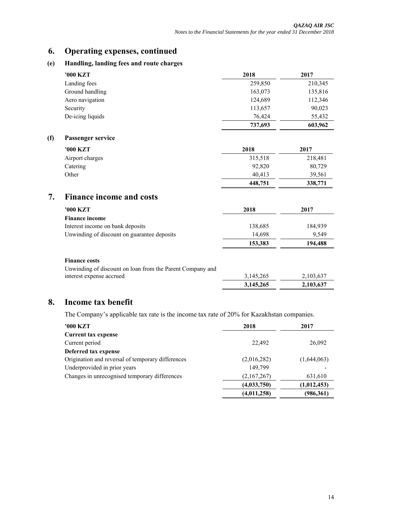# **6. Operating expenses, continued**

### **(e) Handling, landing fees and route charges**

| '000 KZT         | 2018    | 2017    |
|------------------|---------|---------|
| Landing fees     | 259,850 | 210,345 |
| Ground handling  | 163,073 | 135,816 |
| Aero navigation  | 124,689 | 112,346 |
| Security         | 113,657 | 90,023  |
| De-icing liquids | 76,424  | 55,432  |
|                  | 737,693 | 603,962 |

### **(f) Passenger service**

| '000 KZT        | 2018    | 2017    |
|-----------------|---------|---------|
| Airport charges | 315,518 | 218,481 |
| Catering        | 92,820  | 80,729  |
| Other           | 40.413  | 39,561  |
|                 | 448,751 | 338,771 |

### **7. Finance income and costs**

| '000 KZT                                    | 2018    | 2017    |
|---------------------------------------------|---------|---------|
| <b>Finance income</b>                       |         |         |
| Interest income on bank deposits            | 138,685 | 184.939 |
| Unwinding of discount on guarantee deposits | 14.698  | 9.549   |
|                                             | 153,383 | 194.488 |

#### **Finance costs**

| Unwinding of discount on loan from the Parent Company and |           |           |
|-----------------------------------------------------------|-----------|-----------|
| interest expense accrued                                  | 3.145.265 | 2,103,637 |
|                                                           | 3.145.265 | 2,103,637 |

### **8. Income tax benefit**

The Company's applicable tax rate is the income tax rate of 20% for Kazakhstan companies.

| '000 KZT                                          | 2018        | 2017        |
|---------------------------------------------------|-------------|-------------|
| <b>Current tax expense</b>                        |             |             |
| Current period                                    | 22,492      | 26,092      |
| Deferred tax expense                              |             |             |
| Origination and reversal of temporary differences | (2,016,282) | (1,644,063) |
| Underprovided in prior years                      | 149,799     |             |
| Changes in unrecognised temporary differences     | (2,167,267) | 631,610     |
|                                                   | (4,033,750) | (1,012,453) |
|                                                   | (4,011,258) | (986, 361)  |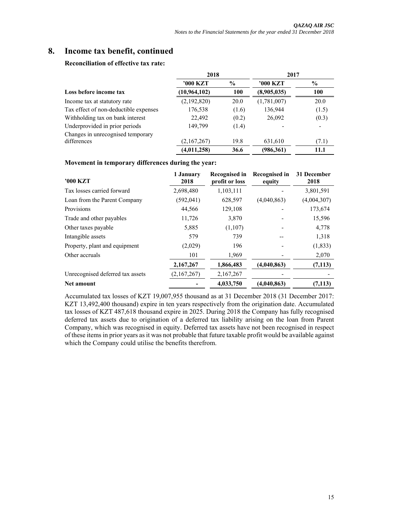# **8. Income tax benefit, continued**

### **Reconciliation of effective tax rate:**

|                                       | 2018         |               | 2017        |       |
|---------------------------------------|--------------|---------------|-------------|-------|
|                                       | '000 KZT     | $\frac{6}{9}$ | '000 KZT    | $\%$  |
| Loss before income tax                | (10,964,102) | 100           | (8,905,035) | 100   |
| Income tax at statutory rate          | (2,192,820)  | 20.0          | (1,781,007) | 20.0  |
| Tax effect of non-deductible expenses | 176,538      | (1.6)         | 136,944     | (1.5) |
| Withholding tax on bank interest      | 22,492       | (0.2)         | 26,092      | (0.3) |
| Underprovided in prior periods        | 149.799      | (1.4)         |             |       |
| Changes in unrecognised temporary     |              |               |             |       |
| differences                           | (2,167,267)  | 19.8          | 631,610     | (7.1) |
|                                       | (4,011,258)  | 36.6          | (986,361)   | 11.1  |

### **Movement in temporary differences during the year:**

| '000 KZT                         | 1 January<br>2018 | <b>Recognised in</b><br>profit or loss | Recognised in<br>equity | 31 December<br>2018 |
|----------------------------------|-------------------|----------------------------------------|-------------------------|---------------------|
| Tax losses carried forward       | 2,698,480         | 1,103,111                              |                         | 3,801,591           |
| Loan from the Parent Company     | (592, 041)        | 628,597                                | (4,040,863)             | (4,004,307)         |
| Provisions                       | 44,566            | 129,108                                |                         | 173,674             |
| Trade and other payables         | 11,726            | 3,870                                  |                         | 15,596              |
| Other taxes payable              | 5,885             | (1,107)                                |                         | 4,778               |
| Intangible assets                | 579               | 739                                    |                         | 1,318               |
| Property, plant and equipment    | (2,029)           | 196                                    |                         | (1,833)             |
| Other accruals                   | 101               | 1,969                                  |                         | 2,070               |
|                                  | 2,167,267         | 1,866,483                              | (4,040,863)             | (7, 113)            |
| Unrecognised deferred tax assets | (2,167,267)       | 2,167,267                              |                         |                     |
| Net amount                       |                   | 4,033,750                              | (4,040,863)             | (7, 113)            |

Accumulated tax losses of KZT 19,007,955 thousand as at 31 December 2018 (31 December 2017: KZT 13,492,400 thousand) expire in ten years respectively from the origination date. Accumulated tax losses of KZT 487,618 thousand expire in 2025. During 2018 the Company has fully recognised deferred tax assets due to origination of a deferred tax liability arising on the loan from Parent Company, which was recognised in equity. Deferred tax assets have not been recognised in respect of these items in prior years as it was not probable that future taxable profit would be available against which the Company could utilise the benefits therefrom.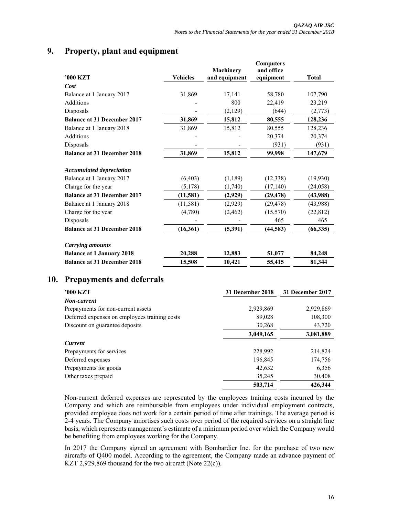# **9. Property, plant and equipment**

|                                    |                 |                            | <b>Computers</b>        |              |
|------------------------------------|-----------------|----------------------------|-------------------------|--------------|
| '000 KZT                           | <b>Vehicles</b> | Machinery<br>and equipment | and office<br>equipment | <b>Total</b> |
| Cost                               |                 |                            |                         |              |
| Balance at 1 January 2017          | 31,869          | 17,141                     | 58,780                  | 107,790      |
| <b>Additions</b>                   |                 | 800                        | 22,419                  | 23,219       |
| Disposals                          |                 | (2,129)                    | (644)                   | (2,773)      |
| <b>Balance at 31 December 2017</b> | 31,869          | 15,812                     | 80,555                  | 128,236      |
| Balance at 1 January 2018          | 31,869          | 15,812                     | 80,555                  | 128,236      |
| <b>Additions</b>                   |                 |                            | 20,374                  | 20,374       |
| Disposals                          |                 |                            | (931)                   | (931)        |
| <b>Balance at 31 December 2018</b> | 31,869          | 15,812                     | 99,998                  | 147,679      |
| <b>Accumulated depreciation</b>    |                 |                            |                         |              |
| Balance at 1 January 2017          | (6,403)         | (1,189)                    | (12, 338)               | (19,930)     |
| Charge for the year                | (5,178)         | (1,740)                    | (17, 140)               | (24, 058)    |
| <b>Balance at 31 December 2017</b> | (11, 581)       | (2,929)                    | (29, 478)               | (43,988)     |
| Balance at 1 January 2018          | (11, 581)       | (2,929)                    | (29, 478)               | (43,988)     |
| Charge for the year                | (4,780)         | (2, 462)                   | (15,570)                | (22, 812)    |
| Disposals                          |                 |                            | 465                     | 465          |
| <b>Balance at 31 December 2018</b> | (16, 361)       | (5,391)                    | (44, 583)               | (66, 335)    |
| <b>Carrying amounts</b>            |                 |                            |                         |              |
| <b>Balance at 1 January 2018</b>   | 20,288          | 12,883                     | 51,077                  | 84,248       |
| <b>Balance at 31 December 2018</b> | 15,508          | 10,421                     | 55,415                  | 81,344       |

### **10. Prepayments and deferrals**

| '000 KZT                                      | 31 December 2018 | 31 December 2017 |
|-----------------------------------------------|------------------|------------------|
| Non-current                                   |                  |                  |
| Prepayments for non-current assets            | 2,929,869        | 2,929,869        |
| Deferred expenses on employees training costs | 89,028           | 108,300          |
| Discount on guarantee deposits                | 30,268           | 43,720           |
|                                               | 3,049,165        | 3,081,889        |
| <b>Current</b>                                |                  |                  |
| Prepayments for services                      | 228,992          | 214,824          |
| Deferred expenses                             | 196,845          | 174,756          |
| Prepayments for goods                         | 42,632           | 6,356            |
| Other taxes prepaid                           | 35,245           | 30,408           |
|                                               | 503,714          | 426,344          |

Non-current deferred expenses are represented by the employees training costs incurred by the Company and which are reimbursable from employees under individual employment contracts, provided employee does not work for a certain period of time after trainings. The average period is 2-4 years. The Company amortises such costs over period of the required services on a straight line basis, which represents management's estimate of a minimum period over which the Company would be benefiting from employees working for the Company.

In 2017 the Company signed an agreement with Bombardier Inc. for the purchase of two new aircrafts of Q400 model. According to the agreement, the Company made an advance payment of KZT 2,929,869 thousand for the two aircraft (Note 22(c)).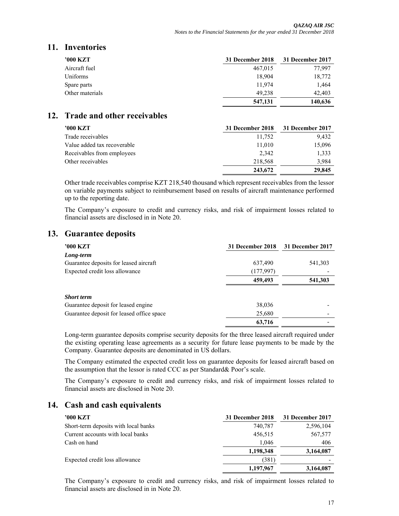### **11. Inventories**

| '000 KZT        | 31 December 2018 | 31 December 2017 |
|-----------------|------------------|------------------|
| Aircraft fuel   | 467,015          | 77,997           |
| Uniforms        | 18,904           | 18,772           |
| Spare parts     | 11.974           | 1,464            |
| Other materials | 49.238           | 42,403           |
|                 | 547,131          | 140,636          |

# **12. Trade and other receivables**

| '000 KZT                    | 31 December 2018 | 31 December 2017 |
|-----------------------------|------------------|------------------|
| Trade receivables           | 11.752           | 9.432            |
| Value added tax recoverable | 11,010           | 15,096           |
| Receivables from employees  | 2.342            | 1,333            |
| Other receivables           | 218,568          | 3.984            |
|                             | 243,672          | 29,845           |

Other trade receivables comprise KZT 218,540 thousand which represent receivables from the lessor on variable payments subject to reimbursement based on results of aircraft maintenance performed up to the reporting date.

The Company's exposure to credit and currency risks, and risk of impairment losses related to financial assets are disclosed in in Note 20.

### **13. Guarantee deposits**

| '000 KZT                                  | 31 December 2018 | 31 December 2017 |
|-------------------------------------------|------------------|------------------|
| Long-term                                 |                  |                  |
| Guarantee deposits for leased aircraft    | 637,490          | 541,303          |
| Expected credit loss allowance            | (177,997)        |                  |
|                                           | 459,493          | 541,303          |
|                                           |                  |                  |
| <b>Short term</b>                         |                  |                  |
| Guarantee deposit for leased engine       | 38,036           |                  |
| Guarantee deposit for leased office space | 25,680           |                  |
|                                           | 63,716           |                  |

Long-term guarantee deposits comprise security deposits for the three leased aircraft required under the existing operating lease agreements as a security for future lease payments to be made by the Company. Guarantee deposits are denominated in US dollars.

The Company estimated the expected credit loss on guarantee deposits for leased aircraft based on the assumption that the lessor is rated CCC as per Standard& Poor's scale.

The Company's exposure to credit and currency risks, and risk of impairment losses related to financial assets are disclosed in Note 20.

### **14. Cash and cash equivalents**

| '000 KZT                             | 31 December 2018 | 31 December 2017 |
|--------------------------------------|------------------|------------------|
| Short-term deposits with local banks | 740,787          | 2,596,104        |
| Current accounts with local banks    | 456,515          | 567,577          |
| Cash on hand                         | 1,046            | 406              |
|                                      | 1,198,348        | 3,164,087        |
| Expected credit loss allowance       | (381)            |                  |
|                                      | 1,197,967        | 3,164,087        |

The Company's exposure to credit and currency risks, and risk of impairment losses related to financial assets are disclosed in in Note 20.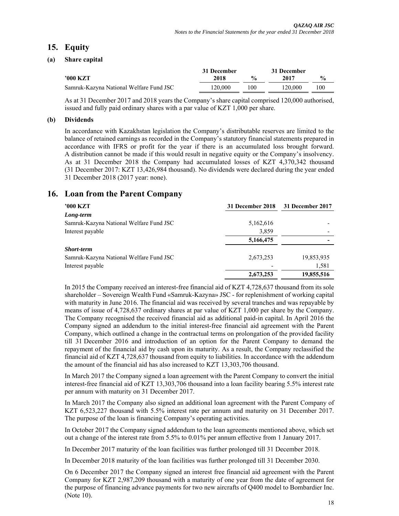# **15. Equity**

### **(a) Share capital**

|                                         | 31 December<br>31 December |                    |         |               |
|-----------------------------------------|----------------------------|--------------------|---------|---------------|
| '000 KZT                                | 2018                       | $\frac{0}{\alpha}$ | 2017    | $\frac{6}{9}$ |
| Samruk-Kazyna National Welfare Fund JSC | 120.000                    | 100                | 120.000 | 100           |

As at 31 December 2017 and 2018 years the Company's share capital comprised 120,000 authorised, issued and fully paid ordinary shares with a par value of KZT 1,000 per share.

### **(b) Dividends**

In accordance with Kazakhstan legislation the Company's distributable reserves are limited to the balance of retained earnings as recorded in the Company's statutory financial statements prepared in accordance with IFRS or profit for the year if there is an accumulated loss brought forward. A distribution cannot be made if this would result in negative equity or the Company's insolvency. As at 31 December 2018 the Company had accumulated losses of KZT 4,370,342 thousand (31 December 2017: KZT 13,426,984 thousand). No dividends were declared during the year ended 31 December 2018 (2017 year: none).

### **16. Loan from the Parent Company**

| '000 KZT                                | 31 December 2018 | 31 December 2017 |
|-----------------------------------------|------------------|------------------|
| Long-term                               |                  |                  |
| Samruk-Kazyna National Welfare Fund JSC | 5,162,616        |                  |
| Interest payable                        | 3,859            |                  |
|                                         | 5,166,475        |                  |
| <b>Short-term</b>                       |                  |                  |
| Samruk-Kazyna National Welfare Fund JSC | 2,673,253        | 19,853,935       |
| Interest payable                        |                  | 1,581            |
|                                         | 2,673,253        | 19,855,516       |

In 2015 the Company received an interest-free financial aid of KZT 4,728,637 thousand from its sole shareholder – Sovereign Wealth Fund «Samruk-Kazyna» JSC - for replenishment of working capital with maturity in June 2016. The financial aid was received by several tranches and was repayable by means of issue of 4,728,637 ordinary shares at par value of KZT 1,000 per share by the Company. The Company recognised the received financial aid as additional paid-in capital. In April 2016 the Company signed an addendum to the initial interest-free financial aid agreement with the Parent Company, which outlined a change in the contractual terms on prolongation of the provided facility till 31 December 2016 and introduction of an option for the Parent Company to demand the repayment of the financial aid by cash upon its maturity. As a result, the Company reclassified the financial aid of KZT 4,728,637 thousand from equity to liabilities. In accordance with the addendum the amount of the financial aid has also increased to KZT 13,303,706 thousand.

In March 2017 the Company signed a loan agreement with the Parent Company to convert the initial interest-free financial aid of KZT 13,303,706 thousand into a loan facility bearing 5.5% interest rate per annum with maturity on 31 December 2017.

In March 2017 the Company also signed an additional loan agreement with the Parent Company of KZT 6,523,227 thousand with 5.5% interest rate per annum and maturity on 31 December 2017. The purpose of the loan is financing Company's operating activities.

In October 2017 the Company signed addendum to the loan agreements mentioned above, which set out a change of the interest rate from 5.5% to 0.01% per annum effective from 1 January 2017.

In December 2017 maturity of the loan facilities was further prolonged till 31 December 2018.

In December 2018 maturity of the loan facilities was further prolonged till 31 December 2030.

On 6 December 2017 the Company signed an interest free financial aid agreement with the Parent Company for KZT 2,987,209 thousand with a maturity of one year from the date of agreement for the purpose of financing advance payments for two new aircrafts of Q400 model to Bombardier Inc. (Note 10).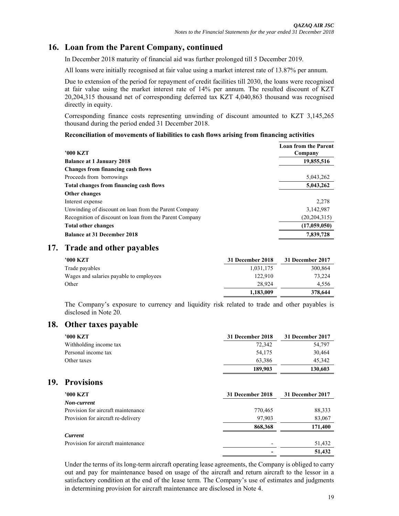# **16. Loan from the Parent Company, continued**

In December 2018 maturity of financial aid was further prolonged till 5 December 2019.

All loans were initially recognised at fair value using a market interest rate of 13.87% per annum.

Due to extension of the period for repayment of credit facilities till 2030, the loans were recognised at fair value using the market interest rate of 14% per annum. The resulted discount of KZT 20,204,315 thousand net of corresponding deferred tax KZT 4,040,863 thousand was recognised directly in equity.

Corresponding finance costs representing unwinding of discount amounted to KZT 3,145,265 thousand during the period ended 31 December 2018.

### **Reconciliation of movements of liabilities to cash flows arising from financing activities**

| '000 KZT                                                | <b>Loan from the Parent</b><br>Company |
|---------------------------------------------------------|----------------------------------------|
| <b>Balance at 1 January 2018</b>                        | 19,855,516                             |
| <b>Changes from financing cash flows</b>                |                                        |
| Proceeds from borrowings                                | 5,043,262                              |
| Total changes from financing cash flows                 | 5,043,262                              |
| Other changes                                           |                                        |
| Interest expense                                        | 2.278                                  |
| Unwinding of discount on loan from the Parent Company   | 3,142,987                              |
| Recognition of discount on loan from the Parent Company | (20, 204, 315)                         |
| <b>Total other changes</b>                              | (17,059,050)                           |
| <b>Balance at 31 December 2018</b>                      | 7,839,728                              |

### **17. Trade and other payables**

| '000 KZT                                | 31 December 2018 | 31 December 2017 |
|-----------------------------------------|------------------|------------------|
| Trade payables                          | 1,031,175        | 300,864          |
| Wages and salaries payable to employees | 122,910          | 73,224           |
| Other                                   | 28.924           | 4.556            |
|                                         | 1,183,009        | 378,644          |

The Company's exposure to currency and liquidity risk related to trade and other payables is disclosed in Note 20.

### **18. Other taxes payable**

| '000 KZT               | 31 December 2018 | 31 December 2017 |
|------------------------|------------------|------------------|
| Withholding income tax | 72,342           | 54.797           |
| Personal income tax    | 54,175           | 30,464           |
| Other taxes            | 63.386           | 45.342           |
|                        | 189.903          | 130,603          |

### **19. Provisions**

| '000 KZT                           | 31 December 2018 | 31 December 2017 |
|------------------------------------|------------------|------------------|
| Non-current                        |                  |                  |
| Provision for aircraft maintenance | 770,465          | 88,333           |
| Provision for aircraft re-delivery | 97,903           | 83,067           |
|                                    | 868,368          | 171,400          |
| <b>Current</b>                     |                  |                  |
| Provision for aircraft maintenance |                  | 51,432           |
|                                    |                  | 51,432           |

Under the terms of its long-term aircraft operating lease agreements, the Company is obliged to carry out and pay for maintenance based on usage of the aircraft and return aircraft to the lessor in a satisfactory condition at the end of the lease term. The Company's use of estimates and judgments in determining provision for aircraft maintenance are disclosed in Note 4.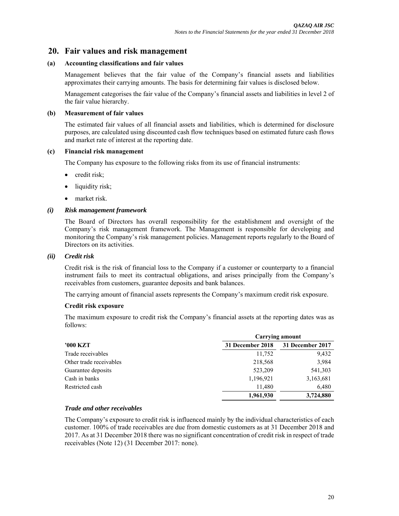### **20. Fair values and risk management**

### **(a) Accounting classifications and fair values**

Management believes that the fair value of the Company's financial assets and liabilities approximates their carrying amounts. The basis for determining fair values is disclosed below.

Management categorises the fair value of the Company's financial assets and liabilities in level 2 of the fair value hierarchy.

### **(b) Measurement of fair values**

The estimated fair values of all financial assets and liabilities, which is determined for disclosure purposes, are calculated using discounted cash flow techniques based on estimated future cash flows and market rate of interest at the reporting date.

### **(c) Financial risk management**

The Company has exposure to the following risks from its use of financial instruments:

- credit risk;
- liquidity risk;
- market risk.

### *(i) Risk management framework*

The Board of Directors has overall responsibility for the establishment and oversight of the Company's risk management framework. The Management is responsible for developing and monitoring the Company's risk management policies. Management reports regularly to the Board of Directors on its activities.

#### *(ii) Credit risk*

Credit risk is the risk of financial loss to the Company if a customer or counterparty to a financial instrument fails to meet its contractual obligations, and arises principally from the Company's receivables from customers, guarantee deposits and bank balances.

The carrying amount of financial assets represents the Company's maximum credit risk exposure.

### **Credit risk exposure**

The maximum exposure to credit risk the Company's financial assets at the reporting dates was as follows:

|                         | <b>Carrying amount</b> |                  |  |
|-------------------------|------------------------|------------------|--|
| '000 KZT                | 31 December 2018       | 31 December 2017 |  |
| Trade receivables       | 11,752                 | 9,432            |  |
| Other trade receivables | 218,568                | 3,984            |  |
| Guarantee deposits      | 523,209                | 541,303          |  |
| Cash in banks           | 1,196,921              | 3,163,681        |  |
| Restricted cash         | 11,480                 | 6,480            |  |
|                         | 1,961,930              | 3,724,880        |  |

### *Trade and other receivables*

The Company's exposure to credit risk is influenced mainly by the individual characteristics of each customer. 100% of trade receivables are due from domestic customers as at 31 December 2018 and 2017. As at 31 December 2018 there was no significant concentration of credit risk in respect of trade receivables (Note 12) (31 December 2017: none).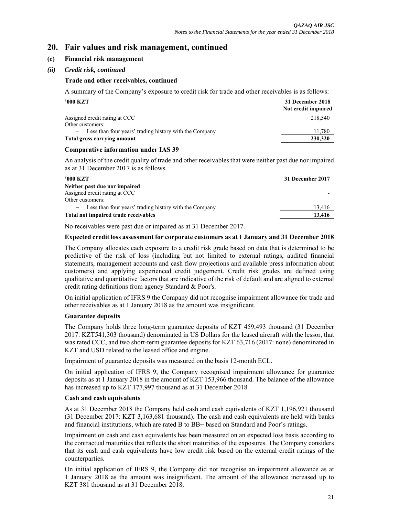### **(c) Financial risk management**

*(ii) Credit risk, continued* 

### **Trade and other receivables, continued**

A summary of the Company's exposure to credit risk for trade and other receivables is as follows:

| '000 KZT                                                        | 31 December 2018    |
|-----------------------------------------------------------------|---------------------|
|                                                                 | Not credit impaired |
| Assigned credit rating at CCC                                   | 218,540             |
| Other customers:                                                |                     |
| $\equiv$ Less than four years' trading history with the Company | 11,780              |
| Total gross carrying amount                                     | 230,320             |

### **Comparative information under IAS 39**

An analysis of the credit quality of trade and other receivables that were neither past due nor impaired as at 31 December 2017 is as follows.

| '000 KZT                                                 | 31 December 2017 |
|----------------------------------------------------------|------------------|
| Neither past due nor impaired                            |                  |
| Assigned credit rating at CCC                            |                  |
| Other customers:                                         |                  |
| - Less than four years' trading history with the Company | 13.416           |
| Total not impaired trade receivables                     | 13,416           |

No receivables were past due or impaired as at 31 December 2017.

### **Expected credit loss assessment for corporate customers as at 1 January and 31 December 2018**

The Company allocates each exposure to a credit risk grade based on data that is determined to be predictive of the risk of loss (including but not limited to external ratings, audited financial statements, management accounts and cash flow projections and available press information about customers) and applying experienced credit judgement. Credit risk grades are defined using qualitative and quantitative factors that are indicative of the risk of default and are aligned to external credit rating definitions from agency Standard & Poor's.

On initial application of IFRS 9 the Company did not recognise impairment allowance for trade and other receivables as at 1 January 2018 as the amount was insignificant.

### **Guarantee deposits**

The Company holds three long-term guarantee deposits of KZT 459,493 thousand (31 December 2017: KZT541,303 thousand) denominated in US Dollars for the leased aircraft with the lessor, that was rated CCC, and two short-term guarantee deposits for KZT 63,716 (2017: none) denominated in KZT and USD related to the leased office and engine.

Impairment of guarantee deposits was measured on the basis 12-month ECL.

On initial application of IFRS 9, the Company recognised impairment allowance for guarantee deposits as at 1 January 2018 in the amount of KZT 153,966 thousand. The balance of the allowance has increased up to KZT 177,997 thousand as at 31 December 2018.

### **Cash and cash equivalents**

As at 31 December 2018 the Company held cash and cash equivalents of KZT 1,196,921 thousand (31 December 2017: KZT 3,163,681 thousand). The cash and cash equivalents are held with banks and financial institutions, which are rated B to BB+ based on Standard and Poor's ratings.

Impairment on cash and cash equivalents has been measured on an expected loss basis according to the contractual maturities that reflects the short maturities of the exposures. The Company considers that its cash and cash equivalents have low credit risk based on the external credit ratings of the counterparties.

On initial application of IFRS 9, the Company did not recognise an impairment allowance as at 1 January 2018 as the amount was insignificant. The amount of the allowance increased up to KZT 381 thousand as at 31 December 2018.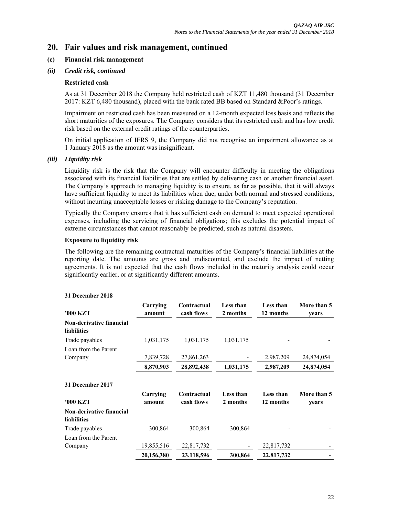### **(c) Financial risk management**

*(ii) Credit risk, continued* 

#### **Restricted cash**

As at 31 December 2018 the Company held restricted cash of KZT 11,480 thousand (31 December 2017: KZT 6,480 thousand), placed with the bank rated BB based on Standard &Poor's ratings.

Impairment on restricted cash has been measured on a 12-month expected loss basis and reflects the short maturities of the exposures. The Company considers that its restricted cash and has low credit risk based on the external credit ratings of the counterparties.

On initial application of IFRS 9, the Company did not recognise an impairment allowance as at 1 January 2018 as the amount was insignificant.

#### *(iii) Liquidity risk*

Liquidity risk is the risk that the Company will encounter difficulty in meeting the obligations associated with its financial liabilities that are settled by delivering cash or another financial asset. The Company's approach to managing liquidity is to ensure, as far as possible, that it will always have sufficient liquidity to meet its liabilities when due, under both normal and stressed conditions, without incurring unacceptable losses or risking damage to the Company's reputation.

Typically the Company ensures that it has sufficient cash on demand to meet expected operational expenses, including the servicing of financial obligations; this excludes the potential impact of extreme circumstances that cannot reasonably be predicted, such as natural disasters.

#### **Exposure to liquidity risk**

The following are the remaining contractual maturities of the Company's financial liabilities at the reporting date. The amounts are gross and undiscounted, and exclude the impact of netting agreements. It is not expected that the cash flows included in the maturity analysis could occur significantly earlier, or at significantly different amounts.

| '000 KZT                                              | Carrying<br>amount | Contractual<br>cash flows | Less than<br>2 months | <b>Less than</b><br>12 months | More than 5<br>years |
|-------------------------------------------------------|--------------------|---------------------------|-----------------------|-------------------------------|----------------------|
| <b>Non-derivative financial</b><br><b>liabilities</b> |                    |                           |                       |                               |                      |
| Trade payables                                        | 1,031,175          | 1,031,175                 | 1,031,175             |                               |                      |
| Loan from the Parent                                  |                    |                           |                       |                               |                      |
| Company                                               | 7,839,728          | 27,861,263                |                       | 2,987,209                     | 24,874,054           |
|                                                       | 8,870,903          | 28,892,438                | 1,031,175             | 2,987,209                     | 24,874,054           |
| 31 December 2017                                      |                    |                           |                       |                               |                      |
|                                                       | Carrying           | Contractual               | <b>Less than</b>      | <b>Less than</b>              | More than 5          |
| '000 KZT                                              | amount             | cash flows                | 2 months              | 12 months                     | vears                |
| <b>Non-derivative financial</b><br><b>liabilities</b> |                    |                           |                       |                               |                      |
| Trade payables                                        | 300,864            | 300,864                   | 300,864               |                               |                      |
| Loan from the Parent                                  |                    |                           |                       |                               |                      |
| Company                                               | 19,855,516         | 22,817,732                |                       | 22,817,732                    |                      |
|                                                       | 20,156,380         | 23,118,596                | 300,864               | 22,817,732                    |                      |

#### **31 December 2018**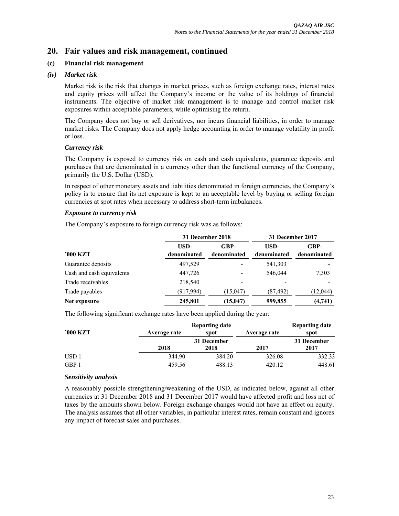### **(c) Financial risk management**

### *(iv) Market risk*

Market risk is the risk that changes in market prices, such as foreign exchange rates, interest rates and equity prices will affect the Company's income or the value of its holdings of financial instruments. The objective of market risk management is to manage and control market risk exposures within acceptable parameters, while optimising the return.

The Company does not buy or sell derivatives, nor incurs financial liabilities, in order to manage market risks. The Company does not apply hedge accounting in order to manage volatility in profit or loss.

### *Currency risk*

The Company is exposed to currency risk on cash and cash equivalents, guarantee deposits and purchases that are denominated in a currency other than the functional currency of the Company, primarily the U.S. Dollar (USD).

In respect of other monetary assets and liabilities denominated in foreign currencies, the Company's policy is to ensure that its net exposure is kept to an acceptable level by buying or selling foreign currencies at spot rates when necessary to address short-term imbalances.

### *Exposure to currency risk*

The Company's exposure to foreign currency risk was as follows:

|                           | 31 December 2018 |             | 31 December 2017 |             |
|---------------------------|------------------|-------------|------------------|-------------|
|                           | USD-             | GBP-        | USD-             | GBP-        |
| '000 KZT                  | denominated      | denominated | denominated      | denominated |
| Guarantee deposits        | 497,529          |             | 541,303          |             |
| Cash and cash equivalents | 447,726          |             | 546,044          | 7,303       |
| Trade receivables         | 218,540          |             |                  |             |
| Trade payables            | (917,994)        | (15,047)    | (87, 492)        | (12,044)    |
| Net exposure              | 245,801          | (15, 047)   | 999,855          | (4,741)     |

The following significant exchange rates have been applied during the year:

|                  |              | <b>Reporting date</b> |        |                     |  |
|------------------|--------------|-----------------------|--------|---------------------|--|
| '000 KZT         | Average rate | spot                  |        | spot                |  |
|                  | 2018         | 31 December<br>2018   | 2017   | 31 December<br>2017 |  |
| USD <sub>1</sub> | 344.90       | 384.20                | 326.08 | 332.33              |  |
| GBP 1            | 459.56       | 488.13                | 420.12 | 448.61              |  |

### *Sensitivity analysis*

A reasonably possible strengthening/weakening of the USD, as indicated below, against all other currencies at 31 December 2018 and 31 December 2017 would have affected profit and loss net of taxes by the amounts shown below. Foreign exchange changes would not have an effect on equity. The analysis assumes that all other variables, in particular interest rates, remain constant and ignores any impact of forecast sales and purchases.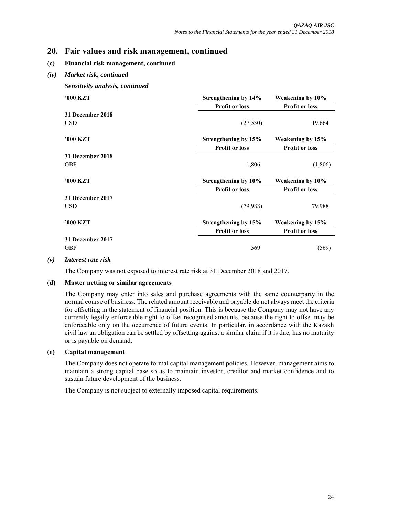### **(c) Financial risk management, continued**

### *(iv) Market risk, continued*

*Sensitivity analysis, continued* 

| '000 KZT         | Strengthening by 14%  | Weakening by 10%        |
|------------------|-----------------------|-------------------------|
|                  | <b>Profit or loss</b> | <b>Profit or loss</b>   |
| 31 December 2018 |                       |                         |
| <b>USD</b>       | (27, 530)             | 19,664                  |
| '000 KZT         | Strengthening by 15%  | Weakening by 15%        |
|                  | <b>Profit or loss</b> | <b>Profit or loss</b>   |
| 31 December 2018 |                       |                         |
| <b>GBP</b>       | 1,806                 | (1,806)                 |
| '000 KZT         | Strengthening by 10%  | <b>Weakening by 10%</b> |
|                  | <b>Profit or loss</b> | <b>Profit or loss</b>   |
| 31 December 2017 |                       |                         |
| <b>USD</b>       | (79,988)              | 79,988                  |
| '000 KZT         | Strengthening by 15%  | Weakening by 15%        |
|                  | <b>Profit or loss</b> | <b>Profit or loss</b>   |
| 31 December 2017 |                       |                         |
| <b>GBP</b>       | 569                   | (569)                   |

#### *(v) Interest rate risk*

The Company was not exposed to interest rate risk at 31 December 2018 and 2017.

### **(d) Master netting or similar agreements**

The Company may enter into sales and purchase agreements with the same counterparty in the normal course of business. The related amount receivable and payable do not always meet the criteria for offsetting in the statement of financial position. This is because the Company may not have any currently legally enforceable right to offset recognised amounts, because the right to offset may be enforceable only on the occurrence of future events. In particular, in accordance with the Kazakh civil law an obligation can be settled by offsetting against a similar claim if it is due, has no maturity or is payable on demand.

### **(e) Capital management**

The Company does not operate formal capital management policies. However, management aims to maintain a strong capital base so as to maintain investor, creditor and market confidence and to sustain future development of the business.

The Company is not subject to externally imposed capital requirements.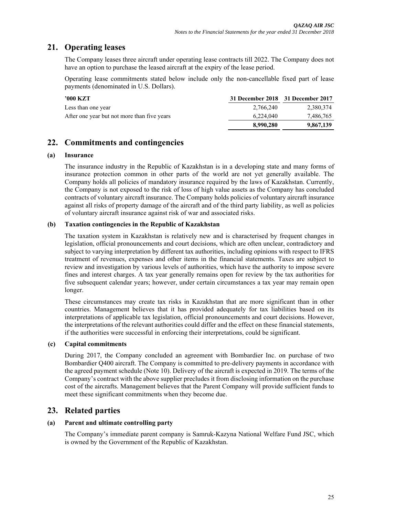# **21. Operating leases**

The Company leases three aircraft under operating lease contracts till 2022. The Company does not have an option to purchase the leased aircraft at the expiry of the lease period.

Operating lease commitments stated below include only the non-cancellable fixed part of lease payments (denominated in U.S. Dollars).

| '000 KZT                                    |           | 31 December 2018 31 December 2017 |
|---------------------------------------------|-----------|-----------------------------------|
| Less than one year                          | 2.766.240 | 2,380,374                         |
| After one year but not more than five years | 6.224,040 | 7,486,765                         |
|                                             | 8,990,280 | 9,867,139                         |

### **22. Commitments and contingencies**

### **(a) Insurance**

The insurance industry in the Republic of Kazakhstan is in a developing state and many forms of insurance protection common in other parts of the world are not yet generally available. The Company holds all policies of mandatory insurance required by the laws of Kazakhstan. Currently, the Company is not exposed to the risk of loss of high value assets as the Company has concluded contracts of voluntary aircraft insurance. The Company holds policies of voluntary aircraft insurance against all risks of property damage of the aircraft and of the third party liability, as well as policies of voluntary aircraft insurance against risk of war and associated risks.

### **(b) Taxation contingencies in the Republic of Kazakhstan**

The taxation system in Kazakhstan is relatively new and is characterised by frequent changes in legislation, official pronouncements and court decisions, which are often unclear, contradictory and subject to varying interpretation by different tax authorities, including opinions with respect to IFRS treatment of revenues, expenses and other items in the financial statements. Taxes are subject to review and investigation by various levels of authorities, which have the authority to impose severe fines and interest charges. A tax year generally remains open for review by the tax authorities for five subsequent calendar years; however, under certain circumstances a tax year may remain open longer.

These circumstances may create tax risks in Kazakhstan that are more significant than in other countries. Management believes that it has provided adequately for tax liabilities based on its interpretations of applicable tax legislation, official pronouncements and court decisions. However, the interpretations of the relevant authorities could differ and the effect on these financial statements, if the authorities were successful in enforcing their interpretations, could be significant.

### **(c) Capital commitments**

During 2017, the Company concluded an agreement with Bombardier Inc. on purchase of two Bombardier Q400 aircraft. The Company is committed to pre-delivery payments in accordance with the agreed payment schedule (Note 10). Delivery of the aircraft is expected in 2019. The terms of the Company's contract with the above supplier precludes it from disclosing information on the purchase cost of the aircrafts. Management believes that the Parent Company will provide sufficient funds to meet these significant commitments when they become due.

### **23. Related parties**

### **(a) Parent and ultimate controlling party**

The Company's immediate parent company is Samruk-Kazyna National Welfare Fund JSC, which is owned by the Government of the Republic of Kazakhstan.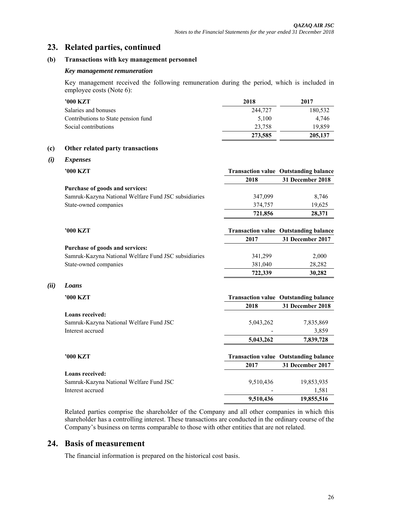### **23. Related parties, continued**

### **(b) Transactions with key management personnel**

### *Key management remuneration*

Key management received the following remuneration during the period, which is included in employee costs (Note 6):

| '000 KZT                            | 2018    | 2017    |
|-------------------------------------|---------|---------|
| Salaries and bonuses                | 244,727 | 180,532 |
| Contributions to State pension fund | 5.100   | 4.746   |
| Social contributions                | 23,758  | 19,859  |
|                                     | 273,585 | 205,137 |

### **(c) Other related party transactions**

#### *(i) Expenses*

| '000 KZT                                             |         | <b>Transaction value Outstanding balance</b> |
|------------------------------------------------------|---------|----------------------------------------------|
|                                                      | 2018    | 31 December 2018                             |
| Purchase of goods and services:                      |         |                                              |
| Samruk-Kazyna National Welfare Fund JSC subsidiaries | 347,099 | 8,746                                        |
| State-owned companies                                | 374,757 | 19,625                                       |
|                                                      | 721,856 | 28,371                                       |
| '000 KZT                                             |         | <b>Transaction value Outstanding balance</b> |
|                                                      | 2017    | 31 December 2017                             |

| Purchase of goods and services:                      |         |        |
|------------------------------------------------------|---------|--------|
| Samruk-Kazyna National Welfare Fund JSC subsidiaries | 341,299 | 2.000  |
| State-owned companies                                | 381.040 | 28,282 |
|                                                      | 722,339 | 30.282 |

#### *(ii) Loans*

| '000 KZT                                |           | <b>Transaction value Outstanding balance</b> |  |
|-----------------------------------------|-----------|----------------------------------------------|--|
|                                         | 2018      | 31 December 2018                             |  |
| Loans received:                         |           |                                              |  |
| Samruk-Kazyna National Welfare Fund JSC | 5,043,262 | 7,835,869                                    |  |
| Interest accrued                        |           | 3,859                                        |  |
|                                         | 5,043,262 | 7,839,728                                    |  |
| '000 KZT                                |           | <b>Transaction value Outstanding balance</b> |  |
|                                         | 2017      | 31 December 2017                             |  |
| Loans received:                         |           |                                              |  |

Related parties comprise the shareholder of the Company and all other companies in which this shareholder has a controlling interest. These transactions are conducted in the ordinary course of the Company's business on terms comparable to those with other entities that are not related.

Samruk-Kazyna National Welfare Fund JSC 9,510,436 19,853,935 Interest accrued 1,581

### **24. Basis of measurement**

The financial information is prepared on the historical cost basis.

**9,510,436 19,855,516**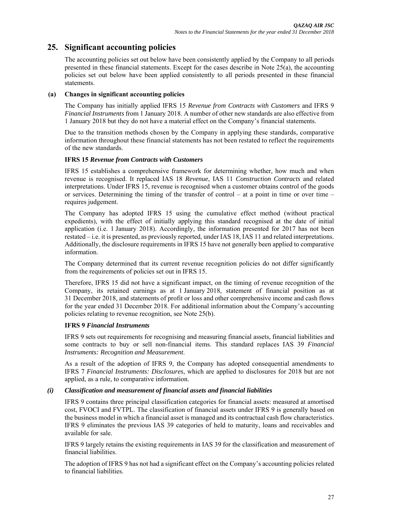### **25. Significant accounting policies**

The accounting policies set out below have been consistently applied by the Company to all periods presented in these financial statements. Except for the cases describe in Note 25(a), the accounting policies set out below have been applied consistently to all periods presented in these financial statements.

### **(a) Changes in significant accounting policies**

The Company has initially applied IFRS 15 *Revenue from Contracts with Customers* and IFRS 9 *Financial Instruments* from 1 January 2018. A number of other new standards are also effective from 1 January 2018 but they do not have a material effect on the Company's financial statements.

Due to the transition methods chosen by the Company in applying these standards, comparative information throughout these financial statements has not been restated to reflect the requirements of the new standards.

### **IFRS 15** *Revenue from Contracts with Customers*

IFRS 15 establishes a comprehensive framework for determining whether, how much and when revenue is recognised. It replaced IAS 18 *Revenue*, IAS 11 *Construction Contracts* and related interpretations. Under IFRS 15, revenue is recognised when a customer obtains control of the goods or services. Determining the timing of the transfer of control – at a point in time or over time – requires judgement.

The Company has adopted IFRS 15 using the cumulative effect method (without practical expedients), with the effect of initially applying this standard recognised at the date of initial application (i.e. 1 January 2018). Accordingly, the information presented for 2017 has not been restated – i.e. it is presented, as previously reported, under IAS 18, IAS 11 and related interpretations. Additionally, the disclosure requirements in IFRS 15 have not generally been applied to comparative information.

The Company determined that its current revenue recognition policies do not differ significantly from the requirements of policies set out in IFRS 15.

Therefore, IFRS 15 did not have a significant impact, on the timing of revenue recognition of the Company, its retained earnings as at 1 January 2018, statement of financial position as at 31 December 2018, and statements of profit or loss and other comprehensive income and cash flows for the year ended 31 December 2018. For additional information about the Company's accounting policies relating to revenue recognition, see Note 25(b).

### **IFRS 9** *Financial Instruments*

IFRS 9 sets out requirements for recognising and measuring financial assets, financial liabilities and some contracts to buy or sell non-financial items. This standard replaces IAS 39 *Financial Instruments: Recognition and Measurement*.

As a result of the adoption of IFRS 9, the Company has adopted consequential amendments to IFRS 7 *Financial Instruments: Disclosures*, which are applied to disclosures for 2018 but are not applied, as a rule, to comparative information.

### *(i) Classification and measurement of financial assets and financial liabilities*

IFRS 9 contains three principal classification categories for financial assets: measured at amortised cost, FVOCI and FVTPL. The classification of financial assets under IFRS 9 is generally based on the business model in which a financial asset is managed and its contractual cash flow characteristics. IFRS 9 eliminates the previous IAS 39 categories of held to maturity, loans and receivables and available for sale.

IFRS 9 largely retains the existing requirements in IAS 39 for the classification and measurement of financial liabilities.

The adoption of IFRS 9 has not had a significant effect on the Company's accounting policies related to financial liabilities.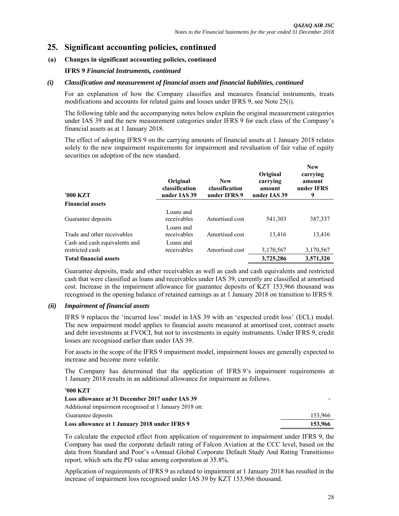### **(a) Changes in significant accounting policies, continued**

### **IFRS 9** *Financial Instruments, continued*

#### *(i) Classification and measurement of financial assets and financial liabilities, continued*

For an explanation of how the Company classifies and measures financial instruments, treats modifications and accounts for related gains and losses under IFRS 9, see Note 25(i).

The following table and the accompanying notes below explain the original measurement categories under IAS 39 and the new measurement categories under IFRS 9 for each class of the Company's financial assets as at 1 January 2018.

The effect of adopting IFRS 9 on the carrying amounts of financial assets at 1 January 2018 relates solely to the new impairment requirements for impairment and revaluation of fair value of equity securities on adoption of the new standard.

| '000 KZT                                         | Original<br>classification<br>under IAS 39 | <b>New</b><br>classification<br>under IFRS 9 | Original<br>carrying<br>amount<br>under IAS 39 | <b>New</b><br>carrying<br>amount<br>under IFRS<br>9 |
|--------------------------------------------------|--------------------------------------------|----------------------------------------------|------------------------------------------------|-----------------------------------------------------|
| <b>Financial assets</b>                          |                                            |                                              |                                                |                                                     |
| Guarantee deposits                               | Loans and<br>receivables                   | Amortised cost                               | 541,303                                        | 387, 337                                            |
| Trade and other receivables                      | Loans and<br>receivables                   | Amortised cost                               | 13.416                                         | 13,416                                              |
| Cash and cash equivalents and<br>restricted cash | Loans and<br>receivables                   | Amortised cost                               | 3,170,567                                      | 3,170,567                                           |
| <b>Total financial assets</b>                    |                                            |                                              | 3,725,286                                      | 3,571,320                                           |

Guarantee deposits, trade and other receivables as well as cash and cash equivalents and restricted cash that were classified as loans and receivables under IAS 39, currently are classified at amortised cost. Increase in the impairment allowance for guarantee deposits of KZT 153,966 thousand was recognised in the opening balance of retained earnings as at 1 January 2018 on transition to IFRS 9.

#### *(ii) Impairment of financial assets*

IFRS 9 replaces the 'incurred loss' model in IAS 39 with an 'expected credit loss' (ECL) model. The new impairment model applies to financial assets measured at amortised cost, contract assets and debt investments at FVOCI, but not to investments in equity instruments. Under IFRS 9, credit losses are recognised earlier than under IAS 39.

For assets in the scope of the IFRS 9 impairment model, impairment losses are generally expected to increase and become more volatile.

The Company has determined that the application of IFRS 9's impairment requirements at 1 January 2018 results in an additional allowance for impairment as follows.

**'000 KZT** 

| 153,966 |
|---------|
| 153,966 |
|         |

To calculate the expected effect from application of requirement to impairment under IFRS 9, the Company has used the corporate default rating of Falcon Aviation at the CCC level, based on the data from Standard and Poor's «Annual Global Corporate Default Study And Rating Transitions» report, which sets the PD value among corporation at 35.8%.

Application of requirements of IFRS 9 as related to impairment at 1 January 2018 has resulted in the increase of impairment loss recognised under IAS 39 by KZT 153,966 thousand.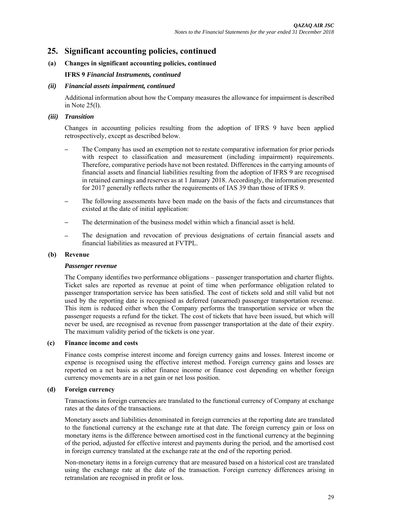### **(a) Changes in significant accounting policies, continued**

### **IFRS 9** *Financial Instruments, continued*

### *(ii) Financial assets impairment, continued*

Additional information about how the Company measures the allowance for impairment is described in Note 25(l).

### *(iii) Transition*

Changes in accounting policies resulting from the adoption of IFRS 9 have been applied retrospectively, except as described below.

- The Company has used an exemption not to restate comparative information for prior periods with respect to classification and measurement (including impairment) requirements. Therefore, comparative periods have not been restated. Differences in the carrying amounts of financial assets and financial liabilities resulting from the adoption of IFRS 9 are recognised in retained earnings and reserves as at 1 January 2018. Accordingly, the information presented for 2017 generally reflects rather the requirements of IAS 39 than those of IFRS 9.
- The following assessments have been made on the basis of the facts and circumstances that existed at the date of initial application:
- The determination of the business model within which a financial asset is held.
- The designation and revocation of previous designations of certain financial assets and financial liabilities as measured at FVTPL.

#### **(b) Revenue**

### *Passenger revenue*

The Company identifies two performance obligations – passenger transportation and charter flights. Ticket sales are reported as revenue at point of time when performance obligation related to passenger transportation service has been satisfied. The cost of tickets sold and still valid but not used by the reporting date is recognised as deferred (unearned) passenger transportation revenue. This item is reduced either when the Company performs the transportation service or when the passenger requests a refund for the ticket. The cost of tickets that have been issued, but which will never be used, are recognised as revenue from passenger transportation at the date of their expiry. The maximum validity period of the tickets is one year.

#### **(c) Finance income and costs**

Finance costs comprise interest income and foreign currency gains and losses. Interest income or expense is recognised using the effective interest method. Foreign currency gains and losses are reported on a net basis as either finance income or finance cost depending on whether foreign currency movements are in a net gain or net loss position.

### **(d) Foreign currency**

Transactions in foreign currencies are translated to the functional currency of Company at exchange rates at the dates of the transactions.

Monetary assets and liabilities denominated in foreign currencies at the reporting date are translated to the functional currency at the exchange rate at that date. The foreign currency gain or loss on monetary items is the difference between amortised cost in the functional currency at the beginning of the period, adjusted for effective interest and payments during the period, and the amortised cost in foreign currency translated at the exchange rate at the end of the reporting period.

Non-monetary items in a foreign currency that are measured based on a historical cost are translated using the exchange rate at the date of the transaction. Foreign currency differences arising in retranslation are recognised in profit or loss.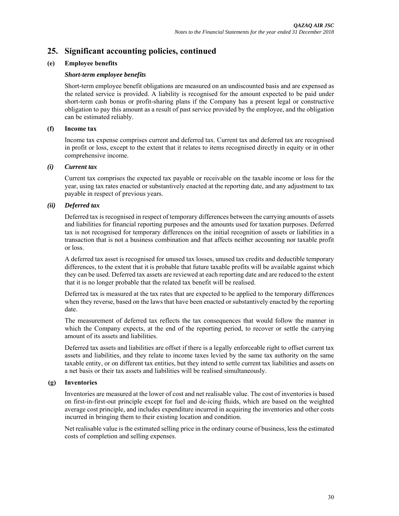### **(e) Employee benefits**

### *Short-term employee benefits*

Short-term employee benefit obligations are measured on an undiscounted basis and are expensed as the related service is provided. A liability is recognised for the amount expected to be paid under short-term cash bonus or profit-sharing plans if the Company has a present legal or constructive obligation to pay this amount as a result of past service provided by the employee, and the obligation can be estimated reliably.

### **(f) Income tax**

Income tax expense comprises current and deferred tax. Current tax and deferred tax are recognised in profit or loss, except to the extent that it relates to items recognised directly in equity or in other comprehensive income.

### *(i) Current tax*

Current tax comprises the expected tax payable or receivable on the taxable income or loss for the year, using tax rates enacted or substantively enacted at the reporting date, and any adjustment to tax payable in respect of previous years.

### *(ii) Deferred tax*

Deferred tax is recognised in respect of temporary differences between the carrying amounts of assets and liabilities for financial reporting purposes and the amounts used for taxation purposes. Deferred tax is not recognised for temporary differences on the initial recognition of assets or liabilities in a transaction that is not a business combination and that affects neither accounting nor taxable profit or loss.

A deferred tax asset is recognised for unused tax losses, unused tax credits and deductible temporary differences, to the extent that it is probable that future taxable profits will be available against which they can be used. Deferred tax assets are reviewed at each reporting date and are reduced to the extent that it is no longer probable that the related tax benefit will be realised.

Deferred tax is measured at the tax rates that are expected to be applied to the temporary differences when they reverse, based on the laws that have been enacted or substantively enacted by the reporting date.

The measurement of deferred tax reflects the tax consequences that would follow the manner in which the Company expects, at the end of the reporting period, to recover or settle the carrying amount of its assets and liabilities.

Deferred tax assets and liabilities are offset if there is a legally enforceable right to offset current tax assets and liabilities, and they relate to income taxes levied by the same tax authority on the same taxable entity, or on different tax entities, but they intend to settle current tax liabilities and assets on a net basis or their tax assets and liabilities will be realised simultaneously.

### **(g) Inventories**

Inventories are measured at the lower of cost and net realisable value. The cost of inventories is based on first-in-first-out principle except for fuel and de-icing fluids, which are based on the weighted average cost principle, and includes expenditure incurred in acquiring the inventories and other costs incurred in bringing them to their existing location and condition.

Net realisable value is the estimated selling price in the ordinary course of business, less the estimated costs of completion and selling expenses.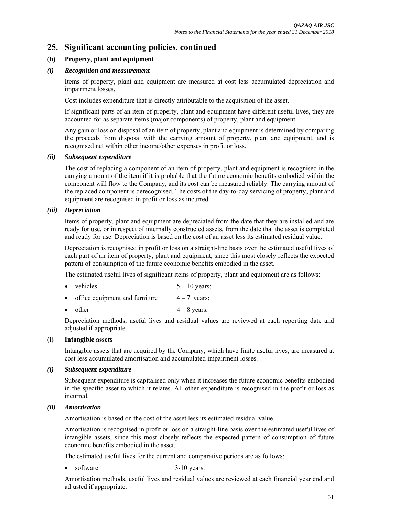### **(h) Property, plant and equipment**

### *(i) Recognition and measurement*

Items of property, plant and equipment are measured at cost less accumulated depreciation and impairment losses.

Cost includes expenditure that is directly attributable to the acquisition of the asset.

If significant parts of an item of property, plant and equipment have different useful lives, they are accounted for as separate items (major components) of property, plant and equipment.

Any gain or loss on disposal of an item of property, plant and equipment is determined by comparing the proceeds from disposal with the carrying amount of property, plant and equipment, and is recognised net within other income/other expenses in profit or loss.

### *(ii) Subsequent expenditure*

The cost of replacing a component of an item of property, plant and equipment is recognised in the carrying amount of the item if it is probable that the future economic benefits embodied within the component will flow to the Company, and its cost can be measured reliably. The carrying amount of the replaced component is derecognised. The costs of the day-to-day servicing of property, plant and equipment are recognised in profit or loss as incurred.

### *(iii) Depreciation*

Items of property, plant and equipment are depreciated from the date that they are installed and are ready for use, or in respect of internally constructed assets, from the date that the asset is completed and ready for use. Depreciation is based on the cost of an asset less its estimated residual value.

Depreciation is recognised in profit or loss on a straight-line basis over the estimated useful lives of each part of an item of property, plant and equipment, since this most closely reflects the expected pattern of consumption of the future economic benefits embodied in the asset.

The estimated useful lives of significant items of property, plant and equipment are as follows:

|           | $\bullet$ vehicles             | $5 - 10$ years; |
|-----------|--------------------------------|-----------------|
| $\bullet$ | office equipment and furniture | $4-7$ years;    |
| $\bullet$ | other                          | $4 - 8$ years.  |

Depreciation methods, useful lives and residual values are reviewed at each reporting date and adjusted if appropriate.

### **(i) Intangible assets**

Intangible assets that are acquired by the Company, which have finite useful lives, are measured at cost less accumulated amortisation and accumulated impairment losses.

### *(i) Subsequent expenditure*

Subsequent expenditure is capitalised only when it increases the future economic benefits embodied in the specific asset to which it relates. All other expenditure is recognised in the profit or loss as incurred.

### *(ii) Amortisation*

Amortisation is based on the cost of the asset less its estimated residual value.

Amortisation is recognised in profit or loss on a straight-line basis over the estimated useful lives of intangible assets, since this most closely reflects the expected pattern of consumption of future economic benefits embodied in the asset.

The estimated useful lives for the current and comparative periods are as follows:

software 3-10 years.

Amortisation methods, useful lives and residual values are reviewed at each financial year end and adjusted if appropriate.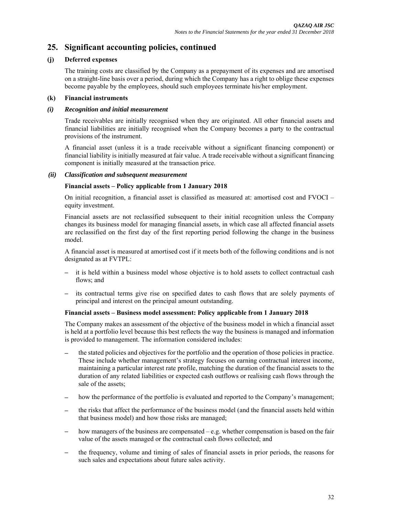### **(j) Deferred expenses**

The training costs are classified by the Company as a prepayment of its expenses and are amortised on a straight-line basis over a period, during which the Company has a right to oblige these expenses become payable by the employees, should such employees terminate his/her employment.

### **(k) Financial instruments**

### *(i) Recognition and initial measurement*

Trade receivables are initially recognised when they are originated. All other financial assets and financial liabilities are initially recognised when the Company becomes a party to the contractual provisions of the instrument.

A financial asset (unless it is a trade receivable without a significant financing component) or financial liability is initially measured at fair value. A trade receivable without a significant financing component is initially measured at the transaction price.

### *(ii) Classification and subsequent measurement*

### **Financial assets – Policy applicable from 1 January 2018**

On initial recognition, a financial asset is classified as measured at: amortised cost and FVOCI – equity investment.

Financial assets are not reclassified subsequent to their initial recognition unless the Company changes its business model for managing financial assets, in which case all affected financial assets are reclassified on the first day of the first reporting period following the change in the business model.

A financial asset is measured at amortised cost if it meets both of the following conditions and is not designated as at FVTPL:

- it is held within a business model whose objective is to hold assets to collect contractual cash flows; and
- its contractual terms give rise on specified dates to cash flows that are solely payments of principal and interest on the principal amount outstanding.

### **Financial assets – Business model assessment: Policy applicable from 1 January 2018**

The Company makes an assessment of the objective of the business model in which a financial asset is held at a portfolio level because this best reflects the way the business is managed and information is provided to management. The information considered includes:

- the stated policies and objectives for the portfolio and the operation of those policies in practice. These include whether management's strategy focuses on earning contractual interest income, maintaining a particular interest rate profile, matching the duration of the financial assets to the duration of any related liabilities or expected cash outflows or realising cash flows through the sale of the assets;
- how the performance of the portfolio is evaluated and reported to the Company's management;
- the risks that affect the performance of the business model (and the financial assets held within that business model) and how those risks are managed;
- how managers of the business are compensated  $-e.g.$  whether compensation is based on the fair value of the assets managed or the contractual cash flows collected; and
- the frequency, volume and timing of sales of financial assets in prior periods, the reasons for such sales and expectations about future sales activity.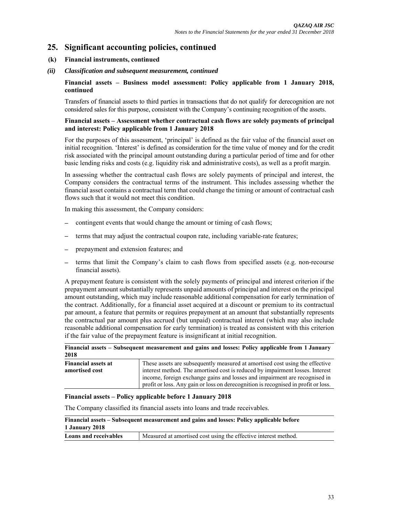### **(k) Financial instruments, continued**

*(ii) Classification and subsequent measurement, continued* 

### **Financial assets – Business model assessment: Policy applicable from 1 January 2018, continued**

Transfers of financial assets to third parties in transactions that do not qualify for derecognition are not considered sales for this purpose, consistent with the Company's continuing recognition of the assets.

### **Financial assets – Assessment whether contractual cash flows are solely payments of principal and interest: Policy applicable from 1 January 2018**

For the purposes of this assessment, 'principal' is defined as the fair value of the financial asset on initial recognition. 'Interest' is defined as consideration for the time value of money and for the credit risk associated with the principal amount outstanding during a particular period of time and for other basic lending risks and costs (e.g. liquidity risk and administrative costs), as well as a profit margin.

In assessing whether the contractual cash flows are solely payments of principal and interest, the Company considers the contractual terms of the instrument. This includes assessing whether the financial asset contains a contractual term that could change the timing or amount of contractual cash flows such that it would not meet this condition.

In making this assessment, the Company considers:

- contingent events that would change the amount or timing of cash flows;
- terms that may adjust the contractual coupon rate, including variable-rate features;
- prepayment and extension features; and
- terms that limit the Company's claim to cash flows from specified assets (e.g. non-recourse financial assets).

A prepayment feature is consistent with the solely payments of principal and interest criterion if the prepayment amount substantially represents unpaid amounts of principal and interest on the principal amount outstanding, which may include reasonable additional compensation for early termination of the contract. Additionally, for a financial asset acquired at a discount or premium to its contractual par amount, a feature that permits or requires prepayment at an amount that substantially represents the contractual par amount plus accrued (but unpaid) contractual interest (which may also include reasonable additional compensation for early termination) is treated as consistent with this criterion if the fair value of the prepayment feature is insignificant at initial recognition.

**Financial assets – Subsequent measurement and gains and losses: Policy applicable from 1 January 2018** 

| <b>Financial assets at</b> | These assets are subsequently measured at amortised cost using the effective       |  |
|----------------------------|------------------------------------------------------------------------------------|--|
| amortised cost             | interest method. The amortised cost is reduced by impairment losses. Interest      |  |
|                            | income, foreign exchange gains and losses and impairment are recognised in         |  |
|                            | profit or loss. Any gain or loss on derecognition is recognised in profit or loss. |  |

### **Financial assets – Policy applicable before 1 January 2018**

The Company classified its financial assets into loans and trade receivables.

| Financial assets – Subsequent measurement and gains and losses: Policy applicable before |                                                                 |  |
|------------------------------------------------------------------------------------------|-----------------------------------------------------------------|--|
| 1 January 2018                                                                           |                                                                 |  |
| Loans and receivables                                                                    | Measured at amortised cost using the effective interest method. |  |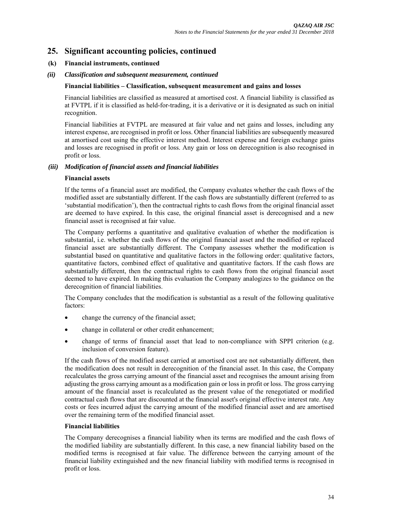### **(k) Financial instruments, continued**

### *(ii) Classification and subsequent measurement, continued*

### **Financial liabilities – Classification, subsequent measurement and gains and losses**

Financial liabilities are classified as measured at amortised cost. A financial liability is classified as at FVTPL if it is classified as held-for-trading, it is a derivative or it is designated as such on initial recognition.

Financial liabilities at FVTPL are measured at fair value and net gains and losses, including any interest expense, are recognised in profit or loss. Other financial liabilities are subsequently measured at amortised cost using the effective interest method. Interest expense and foreign exchange gains and losses are recognised in profit or loss. Any gain or loss on derecognition is also recognised in profit or loss.

### *(iii) Modification of financial assets and financial liabilities*

### **Financial assets**

If the terms of a financial asset are modified, the Company evaluates whether the cash flows of the modified asset are substantially different. If the cash flows are substantially different (referred to as 'substantial modification'), then the contractual rights to cash flows from the original financial asset are deemed to have expired. In this case, the original financial asset is derecognised and a new financial asset is recognised at fair value.

The Company performs a quantitative and qualitative evaluation of whether the modification is substantial, i.e. whether the cash flows of the original financial asset and the modified or replaced financial asset are substantially different. The Company assesses whether the modification is substantial based on quantitative and qualitative factors in the following order: qualitative factors, quantitative factors, combined effect of qualitative and quantitative factors. If the cash flows are substantially different, then the contractual rights to cash flows from the original financial asset deemed to have expired. In making this evaluation the Company analogizes to the guidance on the derecognition of financial liabilities.

The Company concludes that the modification is substantial as a result of the following qualitative factors:

- change the currency of the financial asset;
- change in collateral or other credit enhancement;
- change of terms of financial asset that lead to non-compliance with SPPI criterion (e.g. inclusion of conversion feature).

If the cash flows of the modified asset carried at amortised cost are not substantially different, then the modification does not result in derecognition of the financial asset. In this case, the Company recalculates the gross carrying amount of the financial asset and recognises the amount arising from adjusting the gross carrying amount as a modification gain or loss in profit or loss. The gross carrying amount of the financial asset is recalculated as the present value of the renegotiated or modified contractual cash flows that are discounted at the financial asset's original effective interest rate. Any costs or fees incurred adjust the carrying amount of the modified financial asset and are amortised over the remaining term of the modified financial asset.

### **Financial liabilities**

The Company derecognises a financial liability when its terms are modified and the cash flows of the modified liability are substantially different. In this case, a new financial liability based on the modified terms is recognised at fair value. The difference between the carrying amount of the financial liability extinguished and the new financial liability with modified terms is recognised in profit or loss.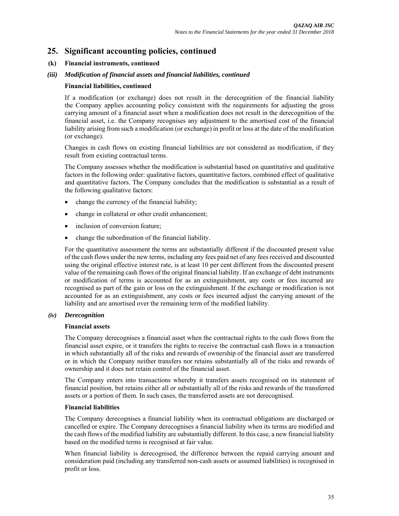### **(k) Financial instruments, continued**

### *(iii) Modification of financial assets and financial liabilities, continued*

### **Financial liabilities, continued**

If a modification (or exchange) does not result in the derecognition of the financial liability the Company applies accounting policy consistent with the requirements for adjusting the gross carrying amount of a financial asset when a modification does not result in the derecognition of the financial asset, i.e. the Company recognises any adjustment to the amortised cost of the financial liability arising from such a modification (or exchange) in profit or loss at the date of the modification (or exchange).

Changes in cash flows on existing financial liabilities are not considered as modification, if they result from existing contractual terms.

The Company assesses whether the modification is substantial based on quantitative and qualitative factors in the following order: qualitative factors, quantitative factors, combined effect of qualitative and quantitative factors. The Company concludes that the modification is substantial as a result of the following qualitative factors:

- change the currency of the financial liability;
- change in collateral or other credit enhancement;
- inclusion of conversion feature;
- change the subordination of the financial liability.

For the quantitative assessment the terms are substantially different if the discounted present value of the cash flows under the new terms, including any fees paid net of any fees received and discounted using the original effective interest rate, is at least 10 per cent different from the discounted present value of the remaining cash flows of the original financial liability. If an exchange of debt instruments or modification of terms is accounted for as an extinguishment, any costs or fees incurred are recognised as part of the gain or loss on the extinguishment. If the exchange or modification is not accounted for as an extinguishment, any costs or fees incurred adjust the carrying amount of the liability and are amortised over the remaining term of the modified liability.

### *(iv) Derecognition*

### **Financial assets**

The Company derecognises a financial asset when the contractual rights to the cash flows from the financial asset expire, or it transfers the rights to receive the contractual cash flows in a transaction in which substantially all of the risks and rewards of ownership of the financial asset are transferred or in which the Company neither transfers nor retains substantially all of the risks and rewards of ownership and it does not retain control of the financial asset.

The Company enters into transactions whereby it transfers assets recognised on its statement of financial position, but retains either all or substantially all of the risks and rewards of the transferred assets or a portion of them. In such cases, the transferred assets are not derecognised.

### **Financial liabilities**

The Company derecognises a financial liability when its contractual obligations are discharged or cancelled or expire. The Company derecognises a financial liability when its terms are modified and the cash flows of the modified liability are substantially different. In this case, a new financial liability based on the modified terms is recognised at fair value.

When financial liability is derecognised, the difference between the repaid carrying amount and consideration paid (including any transferred non-cash assets or assumed liabilities) is recognised in profit or loss.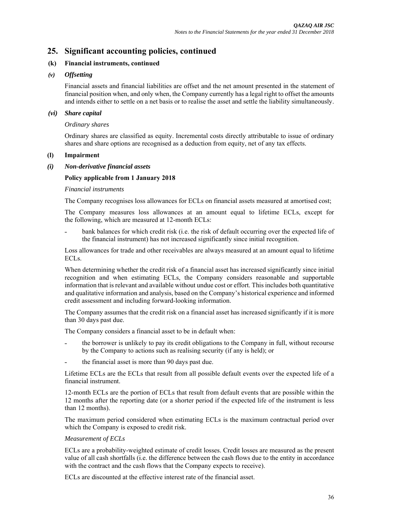### **(k) Financial instruments, continued**

### *(v) Offsetting*

Financial assets and financial liabilities are offset and the net amount presented in the statement of financial position when, and only when, the Company currently has a legal right to offset the amounts and intends either to settle on a net basis or to realise the asset and settle the liability simultaneously.

### *(vi) Share capital*

### *Ordinary shares*

Ordinary shares are classified as equity. Incremental costs directly attributable to issue of ordinary shares and share options are recognised as a deduction from equity, net of any tax effects.

### **(l) Impairment**

### *(i) Non-derivative financial assets*

### **Policy applicable from 1 January 2018**

### *Financial instruments*

The Company recognises loss allowances for ECLs on financial assets measured at amortised cost;

The Company measures loss allowances at an amount equal to lifetime ECLs, except for the following, which are measured at 12-month ECLs:

˗ bank balances for which credit risk (i.e. the risk of default occurring over the expected life of the financial instrument) has not increased significantly since initial recognition.

Loss allowances for trade and other receivables are always measured at an amount equal to lifetime ECLs.

When determining whether the credit risk of a financial asset has increased significantly since initial recognition and when estimating ECLs, the Company considers reasonable and supportable information that is relevant and available without undue cost or effort. This includes both quantitative and qualitative information and analysis, based on the Company's historical experience and informed credit assessment and including forward-looking information.

The Company assumes that the credit risk on a financial asset has increased significantly if it is more than 30 days past due.

The Company considers a financial asset to be in default when:

- ˗ the borrower is unlikely to pay its credit obligations to the Company in full, without recourse by the Company to actions such as realising security (if any is held); or
- the financial asset is more than 90 days past due.

Lifetime ECLs are the ECLs that result from all possible default events over the expected life of a financial instrument.

12-month ECLs are the portion of ECLs that result from default events that are possible within the 12 months after the reporting date (or a shorter period if the expected life of the instrument is less than 12 months).

The maximum period considered when estimating ECLs is the maximum contractual period over which the Company is exposed to credit risk.

### *Measurement of ECLs*

ECLs are a probability-weighted estimate of credit losses. Credit losses are measured as the present value of all cash shortfalls (i.e. the difference between the cash flows due to the entity in accordance with the contract and the cash flows that the Company expects to receive).

ECLs are discounted at the effective interest rate of the financial asset.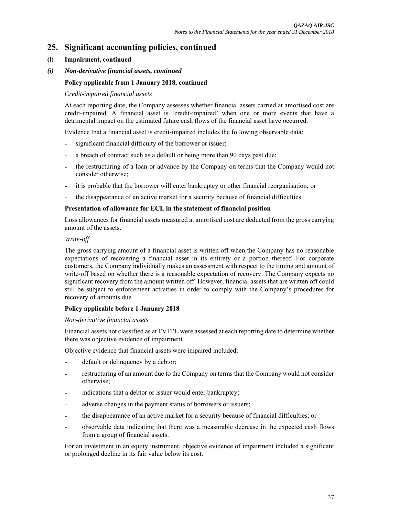### **(l) Impairment, continued**

*(i) Non-derivative financial assets, continued* 

### **Policy applicable from 1 January 2018, continued**

#### *Credit-impaired financial assets*

At each reporting date, the Company assesses whether financial assets carried at amortised cost are credit-impaired. A financial asset is 'credit-impaired' when one or more events that have a detrimental impact on the estimated future cash flows of the financial asset have occurred.

Evidence that a financial asset is credit-impaired includes the following observable data:

- significant financial difficulty of the borrower or issuer;
- ˗ a breach of contract such as a default or being more than 90 days past due;
- ˗ the restructuring of a loan or advance by the Company on terms that the Company would not consider otherwise;
- it is probable that the borrower will enter bankruptcy or other financial reorganisation; or
- ˗ the disappearance of an active market for a security because of financial difficulties.

#### **Presentation of allowance for ECL in the statement of financial position**

Loss allowances for financial assets measured at amortised cost are deducted from the gross carrying amount of the assets.

#### *Write-off*

The gross carrying amount of a financial asset is written off when the Company has no reasonable expectations of recovering a financial asset in its entirety or a portion thereof. For corporate customers, the Company individually makes an assessment with respect to the timing and amount of write-off based on whether there is a reasonable expectation of recovery. The Company expects no significant recovery from the amount written off. However, financial assets that are written off could still be subject to enforcement activities in order to comply with the Company's procedures for recovery of amounts due.

### **Policy applicable before 1 January 2018**

### *Non-derivative financial assets*

Financial assets not classified as at FVTPL were assessed at each reporting date to determine whether there was objective evidence of impairment.

Objective evidence that financial assets were impaired included:

- default or delinquency by a debtor;
- ˗ restructuring of an amount due to the Company on terms that the Company would not consider otherwise;
- indications that a debtor or issuer would enter bankruptcy;
- ˗ adverse changes in the payment status of borrowers or issuers;
- ˗ the disappearance of an active market for a security because of financial difficulties; or
- ˗ observable data indicating that there was a measurable decrease in the expected cash flows from a group of financial assets.

For an investment in an equity instrument, objective evidence of impairment included a significant or prolonged decline in its fair value below its cost.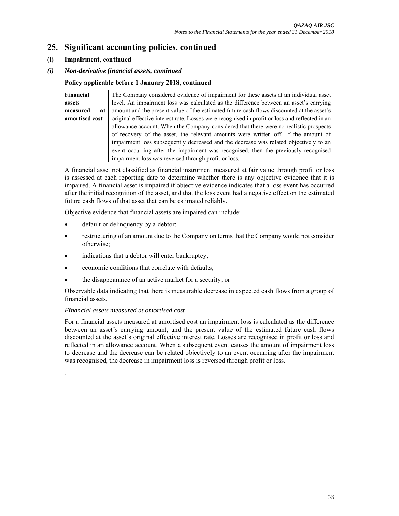### **(l) Impairment, continued**

*(i) Non-derivative financial assets, continued* 

### **Policy applicable before 1 January 2018, continued**

| Financial      | The Company considered evidence of impairment for these assets at an individual asset          |  |  |
|----------------|------------------------------------------------------------------------------------------------|--|--|
| assets         | level. An impairment loss was calculated as the difference between an asset's carrying         |  |  |
| measured<br>at | amount and the present value of the estimated future cash flows discounted at the asset's      |  |  |
| amortised cost | original effective interest rate. Losses were recognised in profit or loss and reflected in an |  |  |
|                | allowance account. When the Company considered that there were no realistic prospects          |  |  |
|                | of recovery of the asset, the relevant amounts were written off. If the amount of              |  |  |
|                | impairment loss subsequently decreased and the decrease was related objectively to an          |  |  |
|                | event occurring after the impairment was recognised, then the previously recognised            |  |  |
|                | impairment loss was reversed through profit or loss.                                           |  |  |

A financial asset not classified as financial instrument measured at fair value through profit or loss is assessed at each reporting date to determine whether there is any objective evidence that it is impaired. A financial asset is impaired if objective evidence indicates that a loss event has occurred after the initial recognition of the asset, and that the loss event had a negative effect on the estimated future cash flows of that asset that can be estimated reliably.

Objective evidence that financial assets are impaired can include:

- default or delinquency by a debtor;
- restructuring of an amount due to the Company on terms that the Company would not consider otherwise;
- indications that a debtor will enter bankruptcy;
- economic conditions that correlate with defaults;
- the disappearance of an active market for a security; or

Observable data indicating that there is measurable decrease in expected cash flows from a group of financial assets.

### *Financial assets measured at amortised cost*

.

For a financial assets measured at amortised cost an impairment loss is calculated as the difference between an asset's carrying amount, and the present value of the estimated future cash flows discounted at the asset's original effective interest rate. Losses are recognised in profit or loss and reflected in an allowance account. When a subsequent event causes the amount of impairment loss to decrease and the decrease can be related objectively to an event occurring after the impairment was recognised, the decrease in impairment loss is reversed through profit or loss.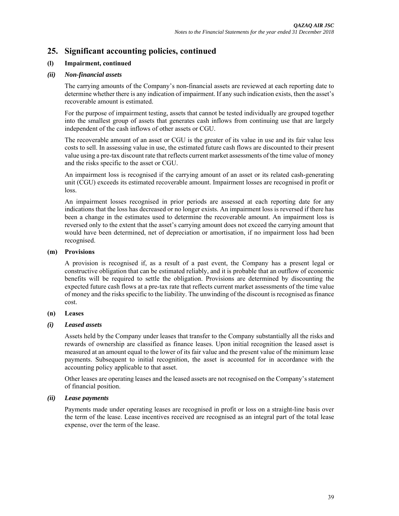### **(l) Impairment, continued**

### *(ii) Non-financial assets*

The carrying amounts of the Company's non-financial assets are reviewed at each reporting date to determine whether there is any indication of impairment. If any such indication exists, then the asset's recoverable amount is estimated.

For the purpose of impairment testing, assets that cannot be tested individually are grouped together into the smallest group of assets that generates cash inflows from continuing use that are largely independent of the cash inflows of other assets or CGU.

The recoverable amount of an asset or CGU is the greater of its value in use and its fair value less costs to sell. In assessing value in use, the estimated future cash flows are discounted to their present value using a pre-tax discount rate that reflects current market assessments of the time value of money and the risks specific to the asset or CGU.

An impairment loss is recognised if the carrying amount of an asset or its related cash-generating unit (CGU) exceeds its estimated recoverable amount. Impairment losses are recognised in profit or loss.

An impairment losses recognised in prior periods are assessed at each reporting date for any indications that the loss has decreased or no longer exists. An impairment loss is reversed if there has been a change in the estimates used to determine the recoverable amount. An impairment loss is reversed only to the extent that the asset's carrying amount does not exceed the carrying amount that would have been determined, net of depreciation or amortisation, if no impairment loss had been recognised.

### **(m) Provisions**

A provision is recognised if, as a result of a past event, the Company has a present legal or constructive obligation that can be estimated reliably, and it is probable that an outflow of economic benefits will be required to settle the obligation. Provisions are determined by discounting the expected future cash flows at a pre-tax rate that reflects current market assessments of the time value of money and the risks specific to the liability. The unwinding of the discount is recognised as finance cost.

### **(n) Leases**

### *(i) Leased assets*

Assets held by the Company under leases that transfer to the Company substantially all the risks and rewards of ownership are classified as finance leases. Upon initial recognition the leased asset is measured at an amount equal to the lower of its fair value and the present value of the minimum lease payments. Subsequent to initial recognition, the asset is accounted for in accordance with the accounting policy applicable to that asset.

Other leases are operating leases and the leased assets are not recognised on the Company's statement of financial position.

### *(ii) Lease payments*

Payments made under operating leases are recognised in profit or loss on a straight-line basis over the term of the lease. Lease incentives received are recognised as an integral part of the total lease expense, over the term of the lease.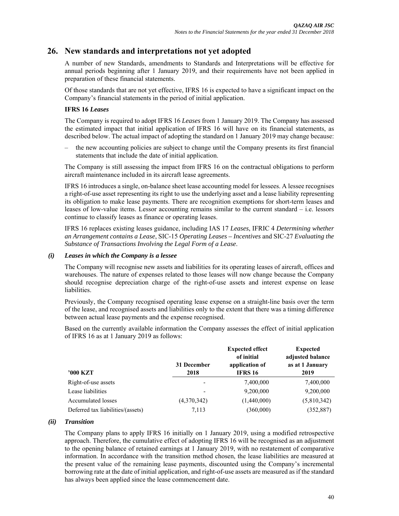### **26. New standards and interpretations not yet adopted**

A number of new Standards, amendments to Standards and Interpretations will be effective for annual periods beginning after 1 January 2019, and their requirements have not been applied in preparation of these financial statements.

Of those standards that are not yet effective, IFRS 16 is expected to have a significant impact on the Company's financial statements in the period of initial application.

### **IFRS 16** *Leases*

The Company is required to adopt IFRS 16 *Leases* from 1 January 2019. The Company has assessed the estimated impact that initial application of IFRS 16 will have on its financial statements, as described below. The actual impact of adopting the standard on 1 January 2019 may change because:

– the new accounting policies are subject to change until the Company presents its first financial statements that include the date of initial application.

The Company is still assessing the impact from IFRS 16 on the contractual obligations to perform aircraft maintenance included in its aircraft lease agreements.

IFRS 16 introduces a single, on-balance sheet lease accounting model for lessees. A lessee recognises a right-of-use asset representing its right to use the underlying asset and a lease liability representing its obligation to make lease payments. There are recognition exemptions for short-term leases and leases of low-value items. Lessor accounting remains similar to the current standard – i.e. lessors continue to classify leases as finance or operating leases.

IFRS 16 replaces existing leases guidance, including IAS 17 *Leases*, IFRIC 4 *Determining whether an Arrangement contains a Lease*, SIC-15 *Operating Leases – Incentives* and SIC-27 *Evaluating the Substance of Transactions Involving the Legal Form of a Lease*.

#### *(i) Leases in which the Company is a lessee*

The Company will recognise new assets and liabilities for its operating leases of aircraft, offices and warehouses. The nature of expenses related to those leases will now change because the Company should recognise depreciation charge of the right-of-use assets and interest expense on lease liabilities.

Previously, the Company recognised operating lease expense on a straight-line basis over the term of the lease, and recognised assets and liabilities only to the extent that there was a timing difference between actual lease payments and the expense recognised.

Based on the currently available information the Company assesses the effect of initial application of IFRS 16 as at 1 January 2019 as follows:

|                                   | 31 December              | <b>Expected effect</b><br>of initial<br>application of | <b>Expected</b><br>adjusted balance<br>as at 1 January |
|-----------------------------------|--------------------------|--------------------------------------------------------|--------------------------------------------------------|
| '000 KZT                          | 2018                     | <b>IFRS 16</b>                                         | 2019                                                   |
| Right-of-use assets               | $\overline{\phantom{a}}$ | 7,400,000                                              | 7,400,000                                              |
| Lease liabilities                 | -                        | 9,200,000                                              | 9,200,000                                              |
| Accumulated losses                | (4,370,342)              | (1,440,000)                                            | (5,810,342)                                            |
| Deferred tax liabilities/(assets) | 7,113                    | (360,000)                                              | (352, 887)                                             |

#### *(ii) Transition*

The Company plans to apply IFRS 16 initially on 1 January 2019, using a modified retrospective approach. Therefore, the cumulative effect of adopting IFRS 16 will be recognised as an adjustment to the opening balance of retained earnings at 1 January 2019, with no restatement of comparative information. In accordance with the transition method chosen, the lease liabilities are measured at the present value of the remaining lease payments, discounted using the Company's incremental borrowing rate at the date of initial application, and right-of-use assets are measured as if the standard has always been applied since the lease commencement date.